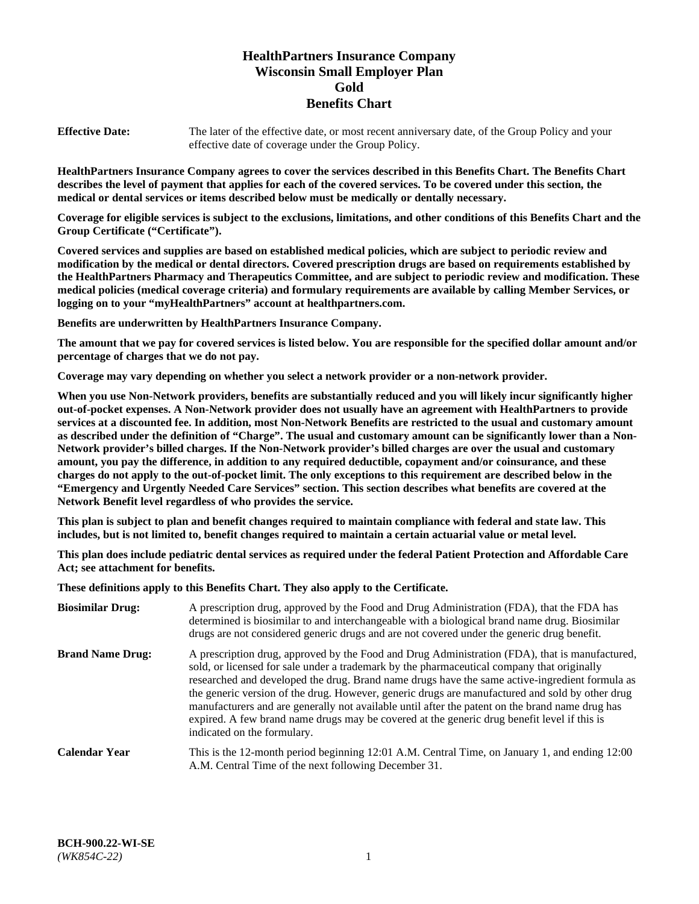# **HealthPartners Insurance Company Wisconsin Small Employer Plan Gold Benefits Chart**

**Effective Date:** The later of the effective date, or most recent anniversary date, of the Group Policy and your effective date of coverage under the Group Policy.

**HealthPartners Insurance Company agrees to cover the services described in this Benefits Chart. The Benefits Chart describes the level of payment that applies for each of the covered services. To be covered under this section, the medical or dental services or items described below must be medically or dentally necessary.**

**Coverage for eligible services is subject to the exclusions, limitations, and other conditions of this Benefits Chart and the Group Certificate ("Certificate").**

**Covered services and supplies are based on established medical policies, which are subject to periodic review and modification by the medical or dental directors. Covered prescription drugs are based on requirements established by the HealthPartners Pharmacy and Therapeutics Committee, and are subject to periodic review and modification. These medical policies (medical coverage criteria) and formulary requirements are available by calling Member Services, or logging on to your "myHealthPartners" account at [healthpartners.com.](https://www.healthpartners.com/hp/index.html)** 

**Benefits are underwritten by HealthPartners Insurance Company.**

**The amount that we pay for covered services is listed below. You are responsible for the specified dollar amount and/or percentage of charges that we do not pay.**

**Coverage may vary depending on whether you select a network provider or a non-network provider.**

**When you use Non-Network providers, benefits are substantially reduced and you will likely incur significantly higher out-of-pocket expenses. A Non-Network provider does not usually have an agreement with HealthPartners to provide services at a discounted fee. In addition, most Non-Network Benefits are restricted to the usual and customary amount as described under the definition of "Charge". The usual and customary amount can be significantly lower than a Non-Network provider's billed charges. If the Non-Network provider's billed charges are over the usual and customary amount, you pay the difference, in addition to any required deductible, copayment and/or coinsurance, and these charges do not apply to the out-of-pocket limit. The only exceptions to this requirement are described below in the "Emergency and Urgently Needed Care Services" section. This section describes what benefits are covered at the Network Benefit level regardless of who provides the service.**

**This plan is subject to plan and benefit changes required to maintain compliance with federal and state law. This includes, but is not limited to, benefit changes required to maintain a certain actuarial value or metal level.**

**This plan does include pediatric dental services as required under the federal Patient Protection and Affordable Care Act; see attachment for benefits.**

**These definitions apply to this Benefits Chart. They also apply to the Certificate.**

| <b>Biosimilar Drug:</b> | A prescription drug, approved by the Food and Drug Administration (FDA), that the FDA has<br>determined is biosimilar to and interchangeable with a biological brand name drug. Biosimilar<br>drugs are not considered generic drugs and are not covered under the generic drug benefit.                                                                                                                                                                                                                                                                                                                                           |
|-------------------------|------------------------------------------------------------------------------------------------------------------------------------------------------------------------------------------------------------------------------------------------------------------------------------------------------------------------------------------------------------------------------------------------------------------------------------------------------------------------------------------------------------------------------------------------------------------------------------------------------------------------------------|
| <b>Brand Name Drug:</b> | A prescription drug, approved by the Food and Drug Administration (FDA), that is manufactured,<br>sold, or licensed for sale under a trademark by the pharmaceutical company that originally<br>researched and developed the drug. Brand name drugs have the same active-ingredient formula as<br>the generic version of the drug. However, generic drugs are manufactured and sold by other drug<br>manufacturers and are generally not available until after the patent on the brand name drug has<br>expired. A few brand name drugs may be covered at the generic drug benefit level if this is<br>indicated on the formulary. |
| <b>Calendar Year</b>    | This is the 12-month period beginning 12:01 A.M. Central Time, on January 1, and ending 12:00<br>A.M. Central Time of the next following December 31.                                                                                                                                                                                                                                                                                                                                                                                                                                                                              |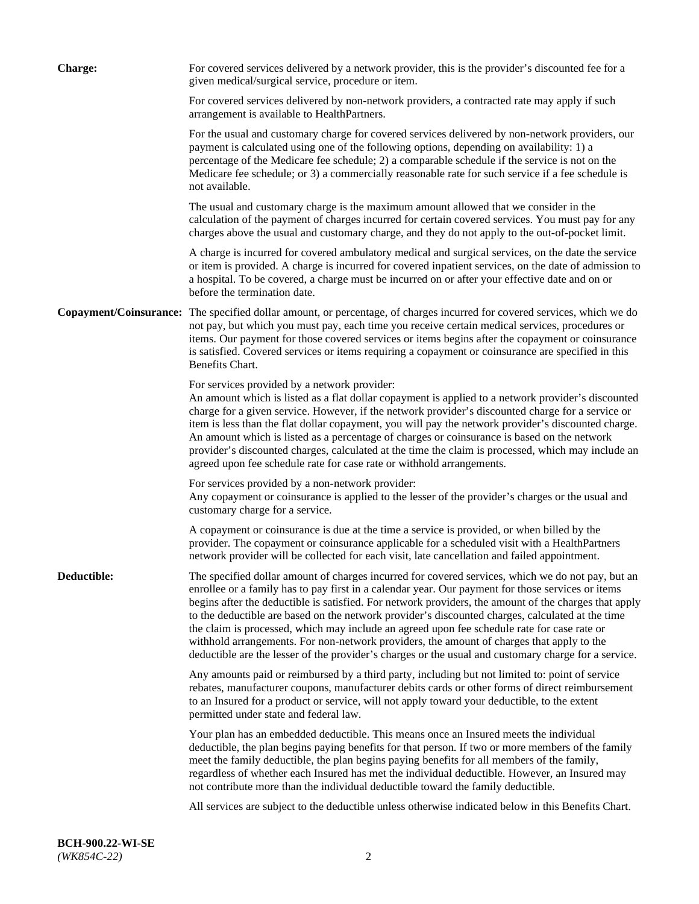| <b>Charge:</b> | For covered services delivered by a network provider, this is the provider's discounted fee for a<br>given medical/surgical service, procedure or item.                                                                                                                                                                                                                                                                                                                                                                                                                                                                                                                                                                 |
|----------------|-------------------------------------------------------------------------------------------------------------------------------------------------------------------------------------------------------------------------------------------------------------------------------------------------------------------------------------------------------------------------------------------------------------------------------------------------------------------------------------------------------------------------------------------------------------------------------------------------------------------------------------------------------------------------------------------------------------------------|
|                | For covered services delivered by non-network providers, a contracted rate may apply if such<br>arrangement is available to HealthPartners.                                                                                                                                                                                                                                                                                                                                                                                                                                                                                                                                                                             |
|                | For the usual and customary charge for covered services delivered by non-network providers, our<br>payment is calculated using one of the following options, depending on availability: 1) a<br>percentage of the Medicare fee schedule; 2) a comparable schedule if the service is not on the<br>Medicare fee schedule; or 3) a commercially reasonable rate for such service if a fee schedule is<br>not available.                                                                                                                                                                                                                                                                                                   |
|                | The usual and customary charge is the maximum amount allowed that we consider in the<br>calculation of the payment of charges incurred for certain covered services. You must pay for any<br>charges above the usual and customary charge, and they do not apply to the out-of-pocket limit.                                                                                                                                                                                                                                                                                                                                                                                                                            |
|                | A charge is incurred for covered ambulatory medical and surgical services, on the date the service<br>or item is provided. A charge is incurred for covered inpatient services, on the date of admission to<br>a hospital. To be covered, a charge must be incurred on or after your effective date and on or<br>before the termination date.                                                                                                                                                                                                                                                                                                                                                                           |
|                | Copayment/Coinsurance: The specified dollar amount, or percentage, of charges incurred for covered services, which we do<br>not pay, but which you must pay, each time you receive certain medical services, procedures or<br>items. Our payment for those covered services or items begins after the copayment or coinsurance<br>is satisfied. Covered services or items requiring a copayment or coinsurance are specified in this<br>Benefits Chart.                                                                                                                                                                                                                                                                 |
|                | For services provided by a network provider:<br>An amount which is listed as a flat dollar copayment is applied to a network provider's discounted<br>charge for a given service. However, if the network provider's discounted charge for a service or<br>item is less than the flat dollar copayment, you will pay the network provider's discounted charge.<br>An amount which is listed as a percentage of charges or coinsurance is based on the network<br>provider's discounted charges, calculated at the time the claim is processed, which may include an<br>agreed upon fee schedule rate for case rate or withhold arrangements.                                                                            |
|                | For services provided by a non-network provider:<br>Any copayment or coinsurance is applied to the lesser of the provider's charges or the usual and<br>customary charge for a service.                                                                                                                                                                                                                                                                                                                                                                                                                                                                                                                                 |
|                | A copayment or coinsurance is due at the time a service is provided, or when billed by the<br>provider. The copayment or coinsurance applicable for a scheduled visit with a HealthPartners<br>network provider will be collected for each visit, late cancellation and failed appointment.                                                                                                                                                                                                                                                                                                                                                                                                                             |
| Deductible:    | The specified dollar amount of charges incurred for covered services, which we do not pay, but an<br>enrollee or a family has to pay first in a calendar year. Our payment for those services or items<br>begins after the deductible is satisfied. For network providers, the amount of the charges that apply<br>to the deductible are based on the network provider's discounted charges, calculated at the time<br>the claim is processed, which may include an agreed upon fee schedule rate for case rate or<br>withhold arrangements. For non-network providers, the amount of charges that apply to the<br>deductible are the lesser of the provider's charges or the usual and customary charge for a service. |
|                | Any amounts paid or reimbursed by a third party, including but not limited to: point of service<br>rebates, manufacturer coupons, manufacturer debits cards or other forms of direct reimbursement<br>to an Insured for a product or service, will not apply toward your deductible, to the extent<br>permitted under state and federal law.                                                                                                                                                                                                                                                                                                                                                                            |
|                | Your plan has an embedded deductible. This means once an Insured meets the individual<br>deductible, the plan begins paying benefits for that person. If two or more members of the family<br>meet the family deductible, the plan begins paying benefits for all members of the family,<br>regardless of whether each Insured has met the individual deductible. However, an Insured may<br>not contribute more than the individual deductible toward the family deductible.                                                                                                                                                                                                                                           |
|                | All services are subject to the deductible unless otherwise indicated below in this Benefits Chart.                                                                                                                                                                                                                                                                                                                                                                                                                                                                                                                                                                                                                     |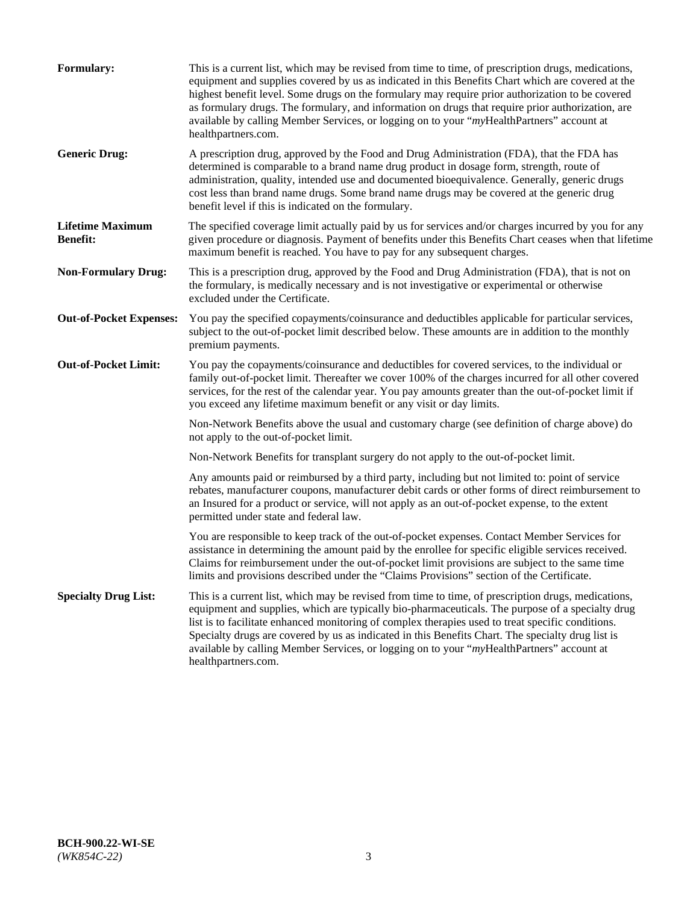| <b>Formulary:</b>                          | This is a current list, which may be revised from time to time, of prescription drugs, medications,<br>equipment and supplies covered by us as indicated in this Benefits Chart which are covered at the<br>highest benefit level. Some drugs on the formulary may require prior authorization to be covered<br>as formulary drugs. The formulary, and information on drugs that require prior authorization, are<br>available by calling Member Services, or logging on to your "myHealthPartners" account at<br>healthpartners.com. |
|--------------------------------------------|---------------------------------------------------------------------------------------------------------------------------------------------------------------------------------------------------------------------------------------------------------------------------------------------------------------------------------------------------------------------------------------------------------------------------------------------------------------------------------------------------------------------------------------|
| <b>Generic Drug:</b>                       | A prescription drug, approved by the Food and Drug Administration (FDA), that the FDA has<br>determined is comparable to a brand name drug product in dosage form, strength, route of<br>administration, quality, intended use and documented bioequivalence. Generally, generic drugs<br>cost less than brand name drugs. Some brand name drugs may be covered at the generic drug<br>benefit level if this is indicated on the formulary.                                                                                           |
| <b>Lifetime Maximum</b><br><b>Benefit:</b> | The specified coverage limit actually paid by us for services and/or charges incurred by you for any<br>given procedure or diagnosis. Payment of benefits under this Benefits Chart ceases when that lifetime<br>maximum benefit is reached. You have to pay for any subsequent charges.                                                                                                                                                                                                                                              |
| <b>Non-Formulary Drug:</b>                 | This is a prescription drug, approved by the Food and Drug Administration (FDA), that is not on<br>the formulary, is medically necessary and is not investigative or experimental or otherwise<br>excluded under the Certificate.                                                                                                                                                                                                                                                                                                     |
| <b>Out-of-Pocket Expenses:</b>             | You pay the specified copayments/coinsurance and deductibles applicable for particular services,<br>subject to the out-of-pocket limit described below. These amounts are in addition to the monthly<br>premium payments.                                                                                                                                                                                                                                                                                                             |
| <b>Out-of-Pocket Limit:</b>                | You pay the copayments/coinsurance and deductibles for covered services, to the individual or<br>family out-of-pocket limit. Thereafter we cover 100% of the charges incurred for all other covered<br>services, for the rest of the calendar year. You pay amounts greater than the out-of-pocket limit if<br>you exceed any lifetime maximum benefit or any visit or day limits.                                                                                                                                                    |
|                                            | Non-Network Benefits above the usual and customary charge (see definition of charge above) do<br>not apply to the out-of-pocket limit.                                                                                                                                                                                                                                                                                                                                                                                                |
|                                            | Non-Network Benefits for transplant surgery do not apply to the out-of-pocket limit.                                                                                                                                                                                                                                                                                                                                                                                                                                                  |
|                                            | Any amounts paid or reimbursed by a third party, including but not limited to: point of service<br>rebates, manufacturer coupons, manufacturer debit cards or other forms of direct reimbursement to<br>an Insured for a product or service, will not apply as an out-of-pocket expense, to the extent<br>permitted under state and federal law.                                                                                                                                                                                      |
|                                            | You are responsible to keep track of the out-of-pocket expenses. Contact Member Services for<br>assistance in determining the amount paid by the enrollee for specific eligible services received.<br>Claims for reimbursement under the out-of-pocket limit provisions are subject to the same time<br>limits and provisions described under the "Claims Provisions" section of the Certificate.                                                                                                                                     |
| <b>Specialty Drug List:</b>                | This is a current list, which may be revised from time to time, of prescription drugs, medications,<br>equipment and supplies, which are typically bio-pharmaceuticals. The purpose of a specialty drug<br>list is to facilitate enhanced monitoring of complex therapies used to treat specific conditions.<br>Specialty drugs are covered by us as indicated in this Benefits Chart. The specialty drug list is<br>available by calling Member Services, or logging on to your "myHealthPartners" account at<br>healthpartners.com. |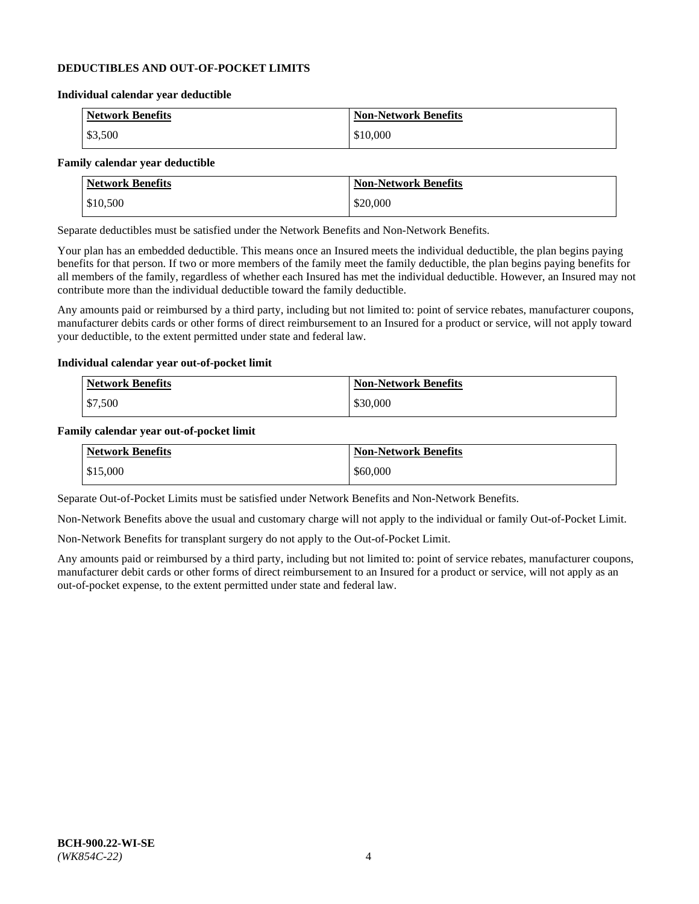#### **DEDUCTIBLES AND OUT-OF-POCKET LIMITS**

#### **Individual calendar year deductible**

| <b>Network Benefits</b> | <b>Non-Network Benefits</b> |
|-------------------------|-----------------------------|
| \$3,500                 | \$10,000                    |

#### **Family calendar year deductible**

| <b>Network Benefits</b> | <b>Non-Network Benefits</b> |
|-------------------------|-----------------------------|
| \$10,500                | \$20,000                    |

Separate deductibles must be satisfied under the Network Benefits and Non-Network Benefits.

Your plan has an embedded deductible. This means once an Insured meets the individual deductible, the plan begins paying benefits for that person. If two or more members of the family meet the family deductible, the plan begins paying benefits for all members of the family, regardless of whether each Insured has met the individual deductible. However, an Insured may not contribute more than the individual deductible toward the family deductible.

Any amounts paid or reimbursed by a third party, including but not limited to: point of service rebates, manufacturer coupons, manufacturer debits cards or other forms of direct reimbursement to an Insured for a product or service, will not apply toward your deductible, to the extent permitted under state and federal law.

#### **Individual calendar year out-of-pocket limit**

| Network Benefits | <b>Non-Network Benefits</b> |
|------------------|-----------------------------|
| \$7,500          | \$30,000                    |

#### **Family calendar year out-of-pocket limit**

| <b>Network Benefits</b> | <b>Non-Network Benefits</b> |
|-------------------------|-----------------------------|
| $\$15,000$              | \$60,000                    |

Separate Out-of-Pocket Limits must be satisfied under Network Benefits and Non-Network Benefits.

Non-Network Benefits above the usual and customary charge will not apply to the individual or family Out-of-Pocket Limit.

Non-Network Benefits for transplant surgery do not apply to the Out-of-Pocket Limit.

Any amounts paid or reimbursed by a third party, including but not limited to: point of service rebates, manufacturer coupons, manufacturer debit cards or other forms of direct reimbursement to an Insured for a product or service, will not apply as an out-of-pocket expense, to the extent permitted under state and federal law.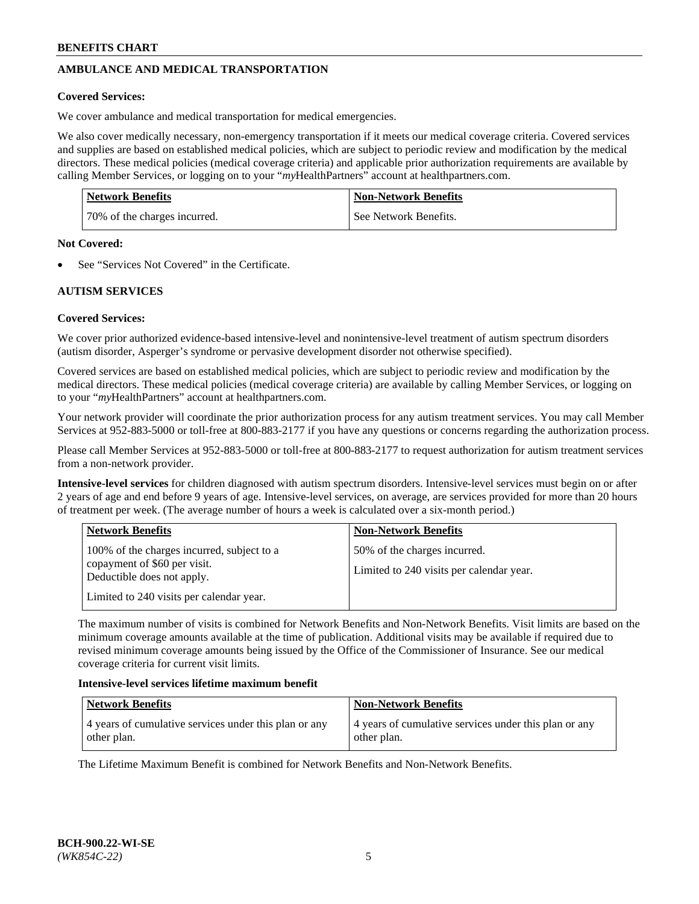# **AMBULANCE AND MEDICAL TRANSPORTATION**

#### **Covered Services:**

We cover ambulance and medical transportation for medical emergencies.

We also cover medically necessary, non-emergency transportation if it meets our medical coverage criteria. Covered services and supplies are based on established medical policies, which are subject to periodic review and modification by the medical directors. These medical policies (medical coverage criteria) and applicable prior authorization requirements are available by calling Member Services, or logging on to your "*my*HealthPartners" account a[t healthpartners.com.](https://www.healthpartners.com/hp/index.html)

| <b>Network Benefits</b>      | <b>Non-Network Benefits</b> |
|------------------------------|-----------------------------|
| 70% of the charges incurred. | See Network Benefits.       |

#### **Not Covered:**

See "Services Not Covered" in the Certificate.

## **AUTISM SERVICES**

## **Covered Services:**

We cover prior authorized evidence-based intensive-level and nonintensive-level treatment of autism spectrum disorders (autism disorder, Asperger's syndrome or pervasive development disorder not otherwise specified).

Covered services are based on established medical policies, which are subject to periodic review and modification by the medical directors. These medical policies (medical coverage criteria) are available by calling Member Services, or logging on to your "*my*HealthPartners" account at [healthpartners.com.](https://www.healthpartners.com/hp/index.html)

Your network provider will coordinate the prior authorization process for any autism treatment services. You may call Member Services at 952-883-5000 or toll-free at 800-883-2177 if you have any questions or concerns regarding the authorization process.

Please call Member Services at 952-883-5000 or toll-free at 800-883-2177 to request authorization for autism treatment services from a non-network provider.

**Intensive-level services** for children diagnosed with autism spectrum disorders. Intensive-level services must begin on or after 2 years of age and end before 9 years of age. Intensive-level services, on average, are services provided for more than 20 hours of treatment per week. (The average number of hours a week is calculated over a six-month period.)

| <b>Network Benefits</b>                                                                                                                              | <b>Non-Network Benefits</b>                                              |
|------------------------------------------------------------------------------------------------------------------------------------------------------|--------------------------------------------------------------------------|
| 100% of the charges incurred, subject to a<br>copayment of \$60 per visit.<br>Deductible does not apply.<br>Limited to 240 visits per calendar year. | 50% of the charges incurred.<br>Limited to 240 visits per calendar year. |

The maximum number of visits is combined for Network Benefits and Non-Network Benefits. Visit limits are based on the minimum coverage amounts available at the time of publication. Additional visits may be available if required due to revised minimum coverage amounts being issued by the Office of the Commissioner of Insurance. See our medical coverage criteria for current visit limits.

#### **Intensive-level services lifetime maximum benefit**

| Network Benefits                                      | <b>Non-Network Benefits</b>                           |
|-------------------------------------------------------|-------------------------------------------------------|
| 4 years of cumulative services under this plan or any | 4 years of cumulative services under this plan or any |
| other plan.                                           | other plan.                                           |

The Lifetime Maximum Benefit is combined for Network Benefits and Non-Network Benefits.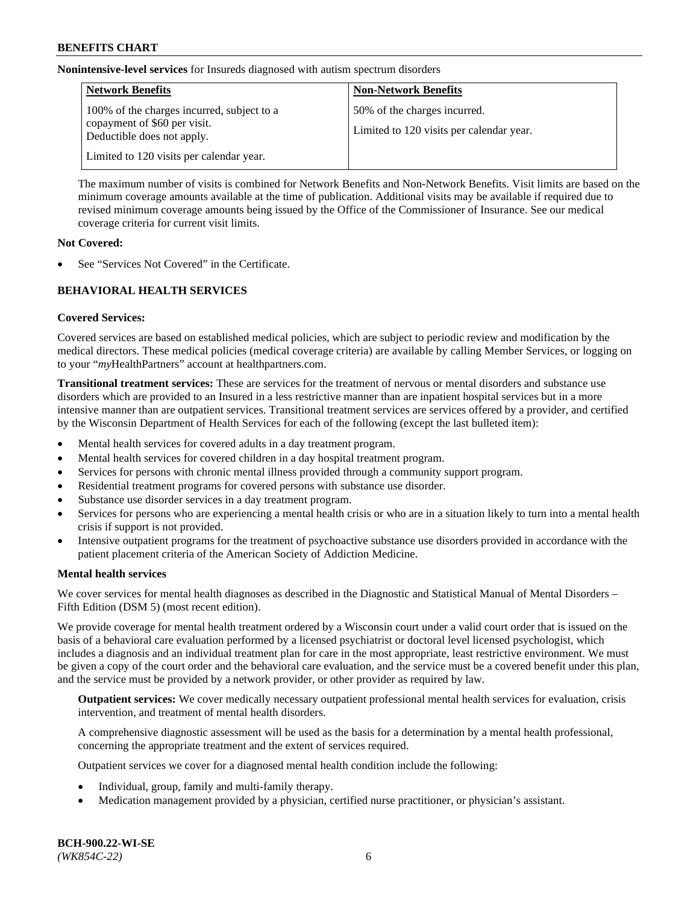**Nonintensive-level services** for Insureds diagnosed with autism spectrum disorders

| <b>Network Benefits</b>                                                                                  | <b>Non-Network Benefits</b>                                              |
|----------------------------------------------------------------------------------------------------------|--------------------------------------------------------------------------|
| 100% of the charges incurred, subject to a<br>copayment of \$60 per visit.<br>Deductible does not apply. | 50% of the charges incurred.<br>Limited to 120 visits per calendar year. |
| Limited to 120 visits per calendar year.                                                                 |                                                                          |

The maximum number of visits is combined for Network Benefits and Non-Network Benefits. Visit limits are based on the minimum coverage amounts available at the time of publication. Additional visits may be available if required due to revised minimum coverage amounts being issued by the Office of the Commissioner of Insurance. See our medical coverage criteria for current visit limits.

#### **Not Covered:**

See "Services Not Covered" in the Certificate.

## **BEHAVIORAL HEALTH SERVICES**

## **Covered Services:**

Covered services are based on established medical policies, which are subject to periodic review and modification by the medical directors. These medical policies (medical coverage criteria) are available by calling Member Services, or logging on to your "*my*HealthPartners" account at [healthpartners.com.](https://www.healthpartners.com/hp/index.html)

**Transitional treatment services:** These are services for the treatment of nervous or mental disorders and substance use disorders which are provided to an Insured in a less restrictive manner than are inpatient hospital services but in a more intensive manner than are outpatient services. Transitional treatment services are services offered by a provider, and certified by the Wisconsin Department of Health Services for each of the following (except the last bulleted item):

- Mental health services for covered adults in a day treatment program.
- Mental health services for covered children in a day hospital treatment program.
- Services for persons with chronic mental illness provided through a community support program.
- Residential treatment programs for covered persons with substance use disorder.
- Substance use disorder services in a day treatment program.
- Services for persons who are experiencing a mental health crisis or who are in a situation likely to turn into a mental health crisis if support is not provided.
- Intensive outpatient programs for the treatment of psychoactive substance use disorders provided in accordance with the patient placement criteria of the American Society of Addiction Medicine.

## **Mental health services**

We cover services for mental health diagnoses as described in the Diagnostic and Statistical Manual of Mental Disorders – Fifth Edition (DSM 5) (most recent edition).

We provide coverage for mental health treatment ordered by a Wisconsin court under a valid court order that is issued on the basis of a behavioral care evaluation performed by a licensed psychiatrist or doctoral level licensed psychologist, which includes a diagnosis and an individual treatment plan for care in the most appropriate, least restrictive environment. We must be given a copy of the court order and the behavioral care evaluation, and the service must be a covered benefit under this plan, and the service must be provided by a network provider, or other provider as required by law.

**Outpatient services:** We cover medically necessary outpatient professional mental health services for evaluation, crisis intervention, and treatment of mental health disorders.

A comprehensive diagnostic assessment will be used as the basis for a determination by a mental health professional, concerning the appropriate treatment and the extent of services required.

Outpatient services we cover for a diagnosed mental health condition include the following:

- Individual, group, family and multi-family therapy.
- Medication management provided by a physician, certified nurse practitioner, or physician's assistant.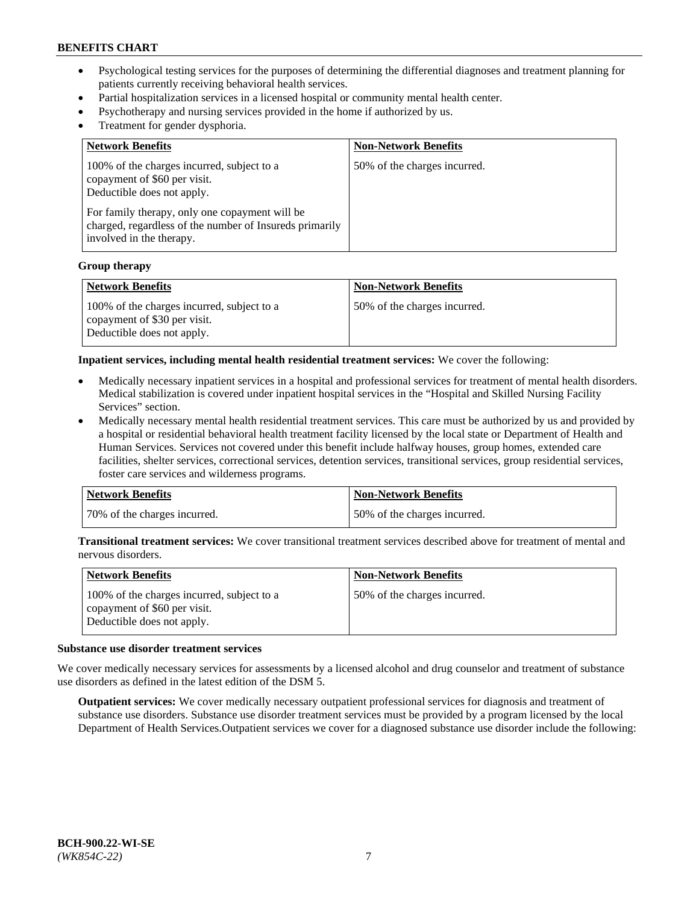- Psychological testing services for the purposes of determining the differential diagnoses and treatment planning for patients currently receiving behavioral health services.
- Partial hospitalization services in a licensed hospital or community mental health center.
- Psychotherapy and nursing services provided in the home if authorized by us.
- Treatment for gender dysphoria.

| <b>Network Benefits</b>                                                                                                                                                                                                                           | <b>Non-Network Benefits</b>  |
|---------------------------------------------------------------------------------------------------------------------------------------------------------------------------------------------------------------------------------------------------|------------------------------|
| 100% of the charges incurred, subject to a<br>copayment of \$60 per visit.<br>Deductible does not apply.<br>For family therapy, only one copayment will be<br>charged, regardless of the number of Insureds primarily<br>involved in the therapy. | 50% of the charges incurred. |

#### **Group therapy**

| Network Benefits                                                                                         | <b>Non-Network Benefits</b>  |
|----------------------------------------------------------------------------------------------------------|------------------------------|
| 100% of the charges incurred, subject to a<br>copayment of \$30 per visit.<br>Deductible does not apply. | 50% of the charges incurred. |

**Inpatient services, including mental health residential treatment services:** We cover the following:

- Medically necessary inpatient services in a hospital and professional services for treatment of mental health disorders. Medical stabilization is covered under inpatient hospital services in the "Hospital and Skilled Nursing Facility Services" section.
- Medically necessary mental health residential treatment services. This care must be authorized by us and provided by a hospital or residential behavioral health treatment facility licensed by the local state or Department of Health and Human Services. Services not covered under this benefit include halfway houses, group homes, extended care facilities, shelter services, correctional services, detention services, transitional services, group residential services, foster care services and wilderness programs.

| <b>Network Benefits</b>      | Non-Network Benefits         |
|------------------------------|------------------------------|
| 70% of the charges incurred. | 50% of the charges incurred. |

**Transitional treatment services:** We cover transitional treatment services described above for treatment of mental and nervous disorders.

| <b>Network Benefits</b>                                                                                  | <b>Non-Network Benefits</b>  |
|----------------------------------------------------------------------------------------------------------|------------------------------|
| 100% of the charges incurred, subject to a<br>copayment of \$60 per visit.<br>Deductible does not apply. | 50% of the charges incurred. |

#### **Substance use disorder treatment services**

We cover medically necessary services for assessments by a licensed alcohol and drug counselor and treatment of substance use disorders as defined in the latest edition of the DSM 5.

**Outpatient services:** We cover medically necessary outpatient professional services for diagnosis and treatment of substance use disorders. Substance use disorder treatment services must be provided by a program licensed by the local Department of Health Services.Outpatient services we cover for a diagnosed substance use disorder include the following: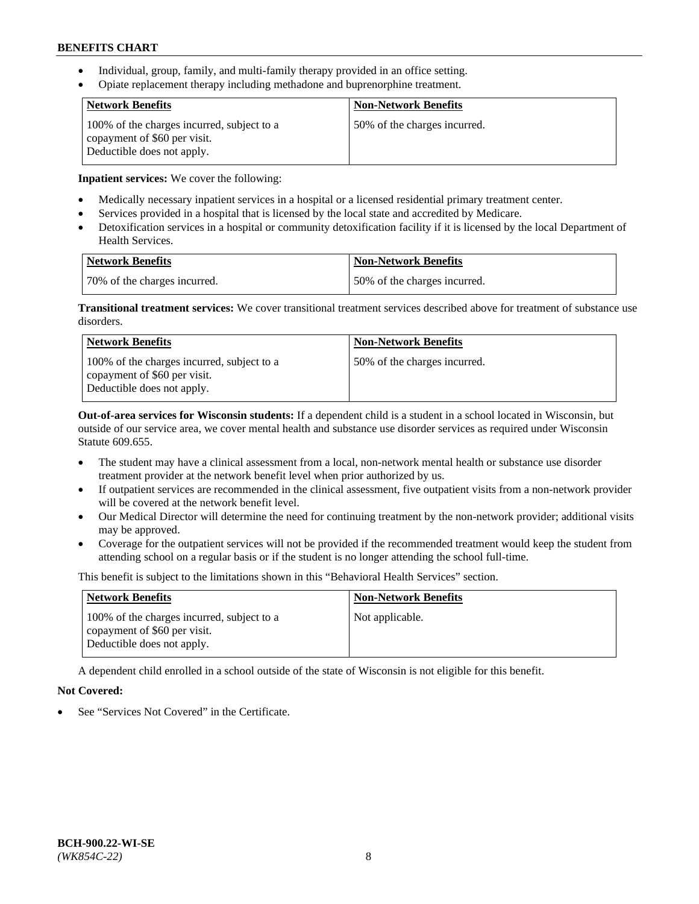- Individual, group, family, and multi-family therapy provided in an office setting.
- Opiate replacement therapy including methadone and buprenorphine treatment.

| <b>Network Benefits</b>                                                                                  | <b>Non-Network Benefits</b>  |
|----------------------------------------------------------------------------------------------------------|------------------------------|
| 100% of the charges incurred, subject to a<br>copayment of \$60 per visit.<br>Deductible does not apply. | 50% of the charges incurred. |

**Inpatient services:** We cover the following:

- Medically necessary inpatient services in a hospital or a licensed residential primary treatment center.
- Services provided in a hospital that is licensed by the local state and accredited by Medicare.
- Detoxification services in a hospital or community detoxification facility if it is licensed by the local Department of Health Services.

| Network Benefits             | <b>Non-Network Benefits</b>  |
|------------------------------|------------------------------|
| 70% of the charges incurred. | 50% of the charges incurred. |

**Transitional treatment services:** We cover transitional treatment services described above for treatment of substance use disorders.

| <b>Network Benefits</b>                                                                                  | <b>Non-Network Benefits</b>  |
|----------------------------------------------------------------------------------------------------------|------------------------------|
| 100% of the charges incurred, subject to a<br>copayment of \$60 per visit.<br>Deductible does not apply. | 50% of the charges incurred. |

**Out-of-area services for Wisconsin students:** If a dependent child is a student in a school located in Wisconsin, but outside of our service area, we cover mental health and substance use disorder services as required under Wisconsin Statute 609.655.

- The student may have a clinical assessment from a local, non-network mental health or substance use disorder treatment provider at the network benefit level when prior authorized by us.
- If outpatient services are recommended in the clinical assessment, five outpatient visits from a non-network provider will be covered at the network benefit level.
- Our Medical Director will determine the need for continuing treatment by the non-network provider; additional visits may be approved.
- Coverage for the outpatient services will not be provided if the recommended treatment would keep the student from attending school on a regular basis or if the student is no longer attending the school full-time.

This benefit is subject to the limitations shown in this "Behavioral Health Services" section.

| <b>Network Benefits</b>                                                                                  | <b>Non-Network Benefits</b> |
|----------------------------------------------------------------------------------------------------------|-----------------------------|
| 100% of the charges incurred, subject to a<br>copayment of \$60 per visit.<br>Deductible does not apply. | Not applicable.             |

A dependent child enrolled in a school outside of the state of Wisconsin is not eligible for this benefit.

# **Not Covered:**

See "Services Not Covered" in the Certificate.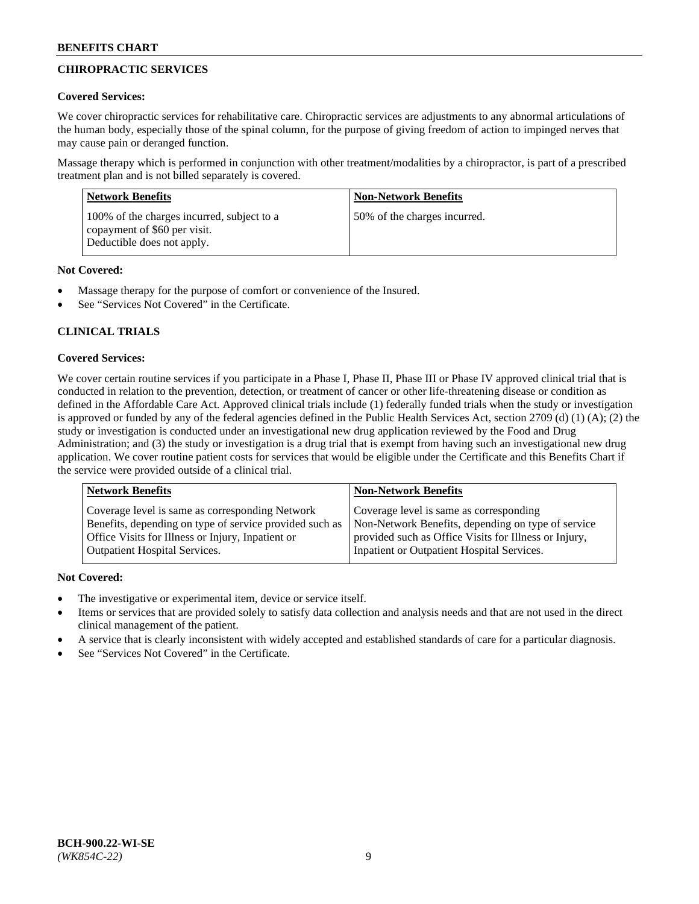# **CHIROPRACTIC SERVICES**

## **Covered Services:**

We cover chiropractic services for rehabilitative care. Chiropractic services are adjustments to any abnormal articulations of the human body, especially those of the spinal column, for the purpose of giving freedom of action to impinged nerves that may cause pain or deranged function.

Massage therapy which is performed in conjunction with other treatment/modalities by a chiropractor, is part of a prescribed treatment plan and is not billed separately is covered.

| <b>Network Benefits</b>                                                                                  | <b>Non-Network Benefits</b>  |
|----------------------------------------------------------------------------------------------------------|------------------------------|
| 100% of the charges incurred, subject to a<br>copayment of \$60 per visit.<br>Deductible does not apply. | 50% of the charges incurred. |

## **Not Covered:**

- Massage therapy for the purpose of comfort or convenience of the Insured.
- See "Services Not Covered" in the Certificate.

# **CLINICAL TRIALS**

## **Covered Services:**

We cover certain routine services if you participate in a Phase I, Phase II, Phase III or Phase IV approved clinical trial that is conducted in relation to the prevention, detection, or treatment of cancer or other life-threatening disease or condition as defined in the Affordable Care Act. Approved clinical trials include (1) federally funded trials when the study or investigation is approved or funded by any of the federal agencies defined in the Public Health Services Act, section 2709 (d) (1) (A); (2) the study or investigation is conducted under an investigational new drug application reviewed by the Food and Drug Administration; and (3) the study or investigation is a drug trial that is exempt from having such an investigational new drug application. We cover routine patient costs for services that would be eligible under the Certificate and this Benefits Chart if the service were provided outside of a clinical trial.

| Coverage level is same as corresponding Network                                                                                                                                                    | <b>Non-Network Benefits</b>                                                                                                                            |  |
|----------------------------------------------------------------------------------------------------------------------------------------------------------------------------------------------------|--------------------------------------------------------------------------------------------------------------------------------------------------------|--|
| Benefits, depending on type of service provided such as<br>Office Visits for Illness or Injury, Inpatient or<br>Inpatient or Outpatient Hospital Services.<br><b>Outpatient Hospital Services.</b> | Coverage level is same as corresponding<br>Non-Network Benefits, depending on type of service<br>provided such as Office Visits for Illness or Injury, |  |

## **Not Covered:**

- The investigative or experimental item, device or service itself.
- Items or services that are provided solely to satisfy data collection and analysis needs and that are not used in the direct clinical management of the patient.
- A service that is clearly inconsistent with widely accepted and established standards of care for a particular diagnosis.
- See "Services Not Covered" in the Certificate.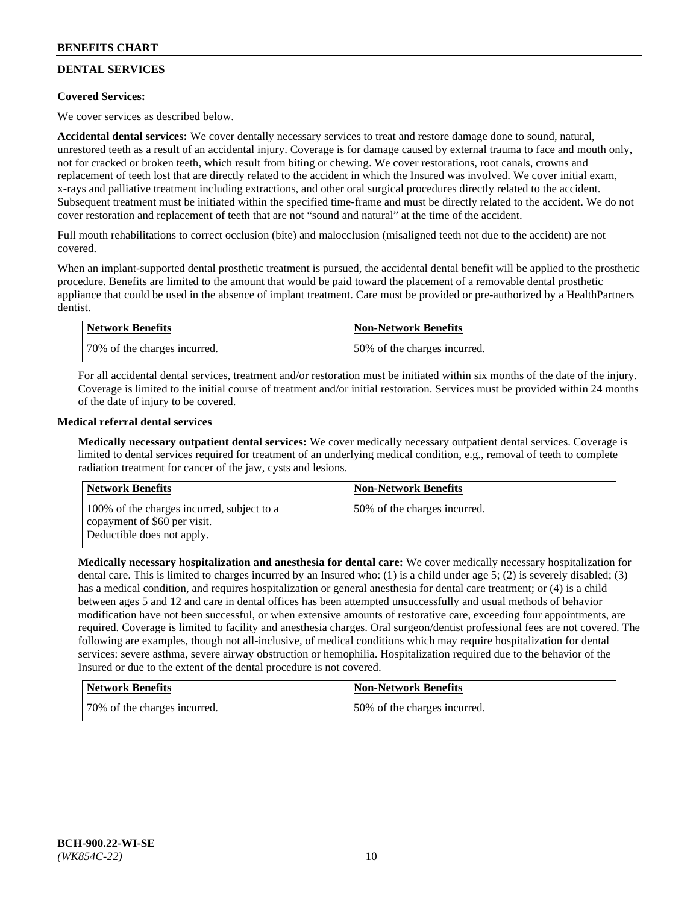# **DENTAL SERVICES**

## **Covered Services:**

We cover services as described below.

**Accidental dental services:** We cover dentally necessary services to treat and restore damage done to sound, natural, unrestored teeth as a result of an accidental injury. Coverage is for damage caused by external trauma to face and mouth only, not for cracked or broken teeth, which result from biting or chewing. We cover restorations, root canals, crowns and replacement of teeth lost that are directly related to the accident in which the Insured was involved. We cover initial exam, x-rays and palliative treatment including extractions, and other oral surgical procedures directly related to the accident. Subsequent treatment must be initiated within the specified time-frame and must be directly related to the accident. We do not cover restoration and replacement of teeth that are not "sound and natural" at the time of the accident.

Full mouth rehabilitations to correct occlusion (bite) and malocclusion (misaligned teeth not due to the accident) are not covered.

When an implant-supported dental prosthetic treatment is pursued, the accidental dental benefit will be applied to the prosthetic procedure. Benefits are limited to the amount that would be paid toward the placement of a removable dental prosthetic appliance that could be used in the absence of implant treatment. Care must be provided or pre-authorized by a HealthPartners dentist.

| Network Benefits             | <b>Non-Network Benefits</b>  |
|------------------------------|------------------------------|
| 70% of the charges incurred. | 50% of the charges incurred. |

For all accidental dental services, treatment and/or restoration must be initiated within six months of the date of the injury. Coverage is limited to the initial course of treatment and/or initial restoration. Services must be provided within 24 months of the date of injury to be covered.

## **Medical referral dental services**

**Medically necessary outpatient dental services:** We cover medically necessary outpatient dental services. Coverage is limited to dental services required for treatment of an underlying medical condition, e.g., removal of teeth to complete radiation treatment for cancer of the jaw, cysts and lesions.

| <b>Network Benefits</b>                                                                                  | <b>Non-Network Benefits</b>  |
|----------------------------------------------------------------------------------------------------------|------------------------------|
| 100% of the charges incurred, subject to a<br>copayment of \$60 per visit.<br>Deductible does not apply. | 50% of the charges incurred. |

**Medically necessary hospitalization and anesthesia for dental care:** We cover medically necessary hospitalization for dental care. This is limited to charges incurred by an Insured who: (1) is a child under age 5; (2) is severely disabled; (3) has a medical condition, and requires hospitalization or general anesthesia for dental care treatment; or (4) is a child between ages 5 and 12 and care in dental offices has been attempted unsuccessfully and usual methods of behavior modification have not been successful, or when extensive amounts of restorative care, exceeding four appointments, are required. Coverage is limited to facility and anesthesia charges. Oral surgeon/dentist professional fees are not covered. The following are examples, though not all-inclusive, of medical conditions which may require hospitalization for dental services: severe asthma, severe airway obstruction or hemophilia. Hospitalization required due to the behavior of the Insured or due to the extent of the dental procedure is not covered.

| <b>Network Benefits</b>      | <b>Non-Network Benefits</b>  |
|------------------------------|------------------------------|
| 70% of the charges incurred. | 50% of the charges incurred. |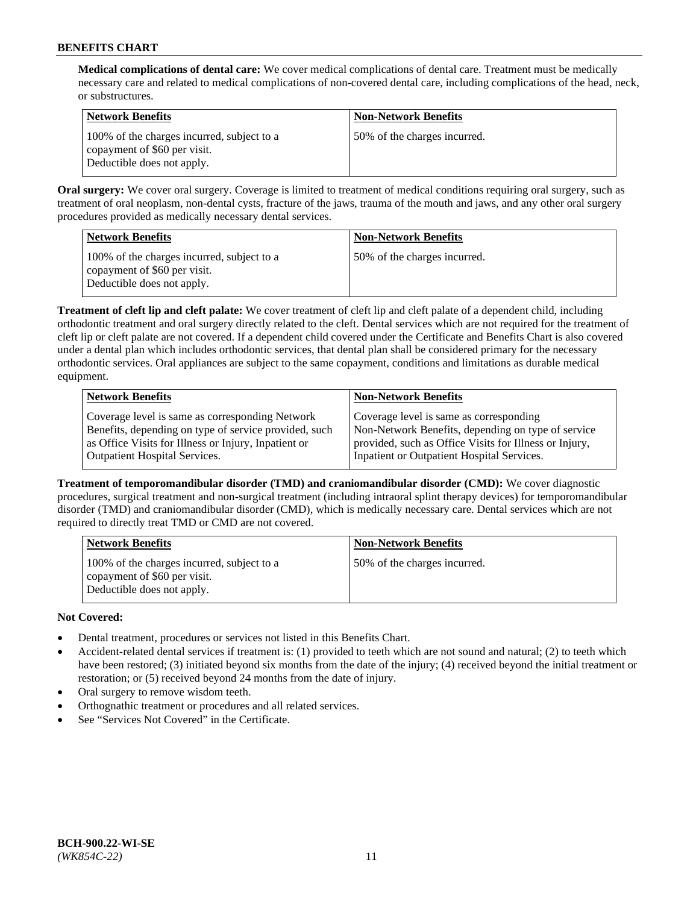**Medical complications of dental care:** We cover medical complications of dental care. Treatment must be medically necessary care and related to medical complications of non-covered dental care, including complications of the head, neck, or substructures.

| Network Benefits                                                                                         | <b>Non-Network Benefits</b>  |
|----------------------------------------------------------------------------------------------------------|------------------------------|
| 100% of the charges incurred, subject to a<br>copayment of \$60 per visit.<br>Deductible does not apply. | 50% of the charges incurred. |

**Oral surgery:** We cover oral surgery. Coverage is limited to treatment of medical conditions requiring oral surgery, such as treatment of oral neoplasm, non-dental cysts, fracture of the jaws, trauma of the mouth and jaws, and any other oral surgery procedures provided as medically necessary dental services.

| Network Benefits                                                                                         | <b>Non-Network Benefits</b>  |
|----------------------------------------------------------------------------------------------------------|------------------------------|
| 100% of the charges incurred, subject to a<br>copayment of \$60 per visit.<br>Deductible does not apply. | 50% of the charges incurred. |

**Treatment of cleft lip and cleft palate:** We cover treatment of cleft lip and cleft palate of a dependent child, including orthodontic treatment and oral surgery directly related to the cleft. Dental services which are not required for the treatment of cleft lip or cleft palate are not covered. If a dependent child covered under the Certificate and Benefits Chart is also covered under a dental plan which includes orthodontic services, that dental plan shall be considered primary for the necessary orthodontic services. Oral appliances are subject to the same copayment, conditions and limitations as durable medical equipment.

| <b>Network Benefits</b>                               | <b>Non-Network Benefits</b>                            |
|-------------------------------------------------------|--------------------------------------------------------|
| Coverage level is same as corresponding Network       | Coverage level is same as corresponding                |
| Benefits, depending on type of service provided, such | Non-Network Benefits, depending on type of service     |
| as Office Visits for Illness or Injury, Inpatient or  | provided, such as Office Visits for Illness or Injury, |
| <b>Outpatient Hospital Services.</b>                  | Inpatient or Outpatient Hospital Services.             |

**Treatment of temporomandibular disorder (TMD) and craniomandibular disorder (CMD):** We cover diagnostic procedures, surgical treatment and non-surgical treatment (including intraoral splint therapy devices) for temporomandibular disorder (TMD) and craniomandibular disorder (CMD), which is medically necessary care. Dental services which are not required to directly treat TMD or CMD are not covered.

| <b>Network Benefits</b>                                                                                  | <b>Non-Network Benefits</b>  |
|----------------------------------------------------------------------------------------------------------|------------------------------|
| 100% of the charges incurred, subject to a<br>copayment of \$60 per visit.<br>Deductible does not apply. | 50% of the charges incurred. |

# **Not Covered:**

- Dental treatment, procedures or services not listed in this Benefits Chart.
- Accident-related dental services if treatment is: (1) provided to teeth which are not sound and natural; (2) to teeth which have been restored; (3) initiated beyond six months from the date of the injury; (4) received beyond the initial treatment or restoration; or (5) received beyond 24 months from the date of injury.
- Oral surgery to remove wisdom teeth.
- Orthognathic treatment or procedures and all related services.
- See "Services Not Covered" in the Certificate.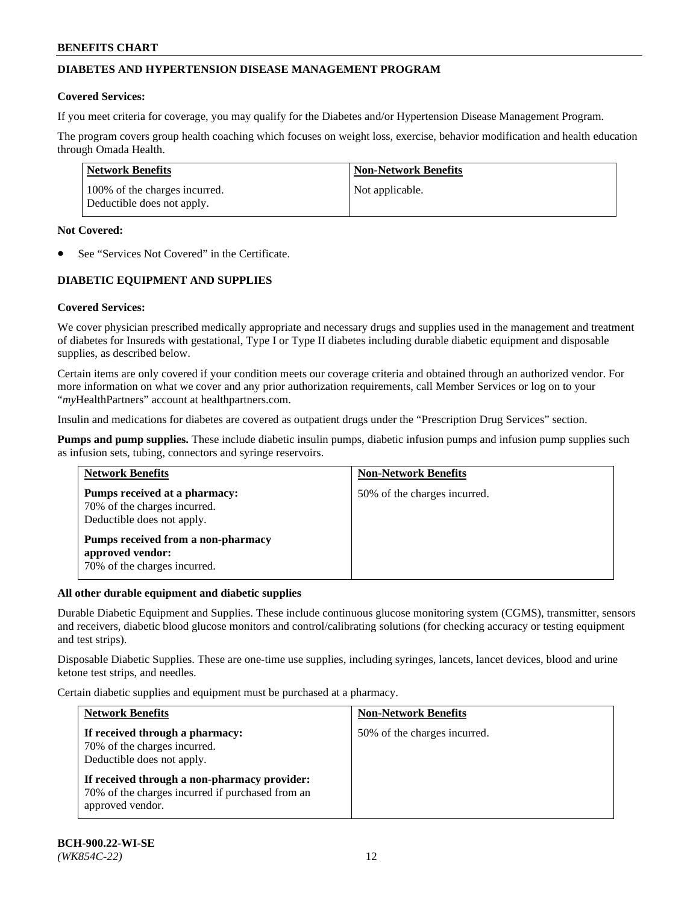## **DIABETES AND HYPERTENSION DISEASE MANAGEMENT PROGRAM**

#### **Covered Services:**

If you meet criteria for coverage, you may qualify for the Diabetes and/or Hypertension Disease Management Program.

The program covers group health coaching which focuses on weight loss, exercise, behavior modification and health education through Omada Health.

| <b>Network Benefits</b>                                     | <b>Non-Network Benefits</b> |
|-------------------------------------------------------------|-----------------------------|
| 100% of the charges incurred.<br>Deductible does not apply. | Not applicable.             |

#### **Not Covered:**

See "Services Not Covered" in the Certificate.

## **DIABETIC EQUIPMENT AND SUPPLIES**

## **Covered Services:**

We cover physician prescribed medically appropriate and necessary drugs and supplies used in the management and treatment of diabetes for Insureds with gestational, Type I or Type II diabetes including durable diabetic equipment and disposable supplies, as described below.

Certain items are only covered if your condition meets our coverage criteria and obtained through an authorized vendor. For more information on what we cover and any prior authorization requirements, call Member Services or log on to your "*my*HealthPartners" account at [healthpartners.com.](http://www.healthpartners.com/)

Insulin and medications for diabetes are covered as outpatient drugs under the "Prescription Drug Services" section.

**Pumps and pump supplies.** These include diabetic insulin pumps, diabetic infusion pumps and infusion pump supplies such as infusion sets, tubing, connectors and syringe reservoirs.

| <b>Network Benefits</b>                                                                     | <b>Non-Network Benefits</b>  |
|---------------------------------------------------------------------------------------------|------------------------------|
| Pumps received at a pharmacy:<br>70% of the charges incurred.<br>Deductible does not apply. | 50% of the charges incurred. |
| Pumps received from a non-pharmacy<br>approved vendor:<br>70% of the charges incurred.      |                              |

## **All other durable equipment and diabetic supplies**

Durable Diabetic Equipment and Supplies. These include continuous glucose monitoring system (CGMS), transmitter, sensors and receivers, diabetic blood glucose monitors and control/calibrating solutions (for checking accuracy or testing equipment and test strips).

Disposable Diabetic Supplies. These are one-time use supplies, including syringes, lancets, lancet devices, blood and urine ketone test strips, and needles.

Certain diabetic supplies and equipment must be purchased at a pharmacy.

| <b>Network Benefits</b>                                                                                              | <b>Non-Network Benefits</b>  |
|----------------------------------------------------------------------------------------------------------------------|------------------------------|
| If received through a pharmacy:<br>70% of the charges incurred.<br>Deductible does not apply.                        | 50% of the charges incurred. |
| If received through a non-pharmacy provider:<br>70% of the charges incurred if purchased from an<br>approved vendor. |                              |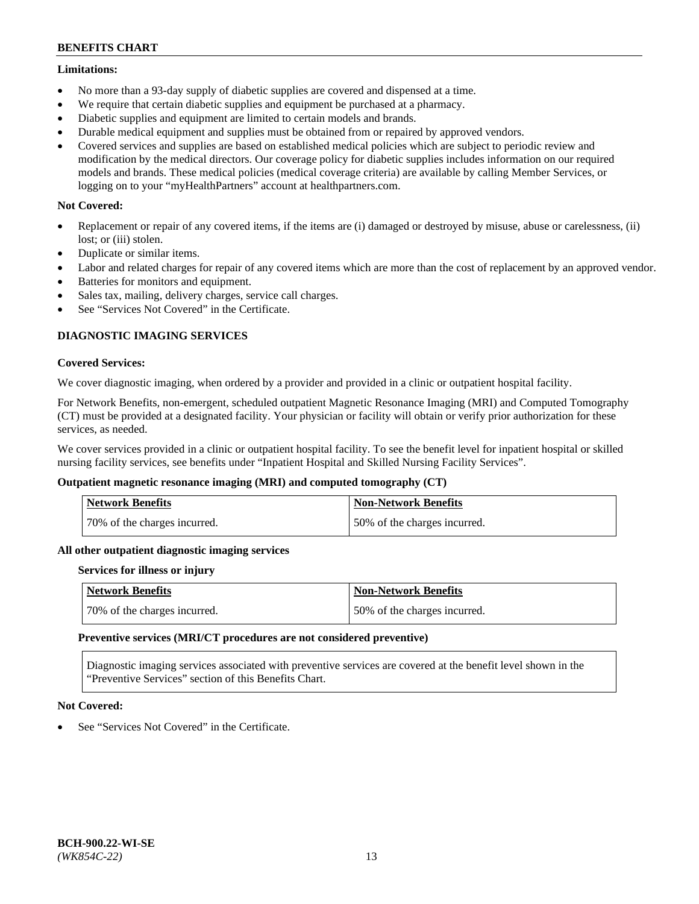#### **Limitations:**

- No more than a 93-day supply of diabetic supplies are covered and dispensed at a time.
- We require that certain diabetic supplies and equipment be purchased at a pharmacy.
- Diabetic supplies and equipment are limited to certain models and brands.
- Durable medical equipment and supplies must be obtained from or repaired by approved vendors.
- Covered services and supplies are based on established medical policies which are subject to periodic review and modification by the medical directors. Our coverage policy for diabetic supplies includes information on our required models and brands. These medical policies (medical coverage criteria) are available by calling Member Services, or logging on to your "myHealthPartners" account at [healthpartners.com.](http://www.healthpartners.com/)

## **Not Covered:**

- Replacement or repair of any covered items, if the items are (i) damaged or destroyed by misuse, abuse or carelessness, (ii) lost; or (iii) stolen.
- Duplicate or similar items.
- Labor and related charges for repair of any covered items which are more than the cost of replacement by an approved vendor.
- Batteries for monitors and equipment.
- Sales tax, mailing, delivery charges, service call charges.
- See "Services Not Covered" in the Certificate.

## **DIAGNOSTIC IMAGING SERVICES**

#### **Covered Services:**

We cover diagnostic imaging, when ordered by a provider and provided in a clinic or outpatient hospital facility.

For Network Benefits, non-emergent, scheduled outpatient Magnetic Resonance Imaging (MRI) and Computed Tomography (CT) must be provided at a designated facility. Your physician or facility will obtain or verify prior authorization for these services, as needed.

We cover services provided in a clinic or outpatient hospital facility. To see the benefit level for inpatient hospital or skilled nursing facility services, see benefits under "Inpatient Hospital and Skilled Nursing Facility Services".

## **Outpatient magnetic resonance imaging (MRI) and computed tomography (CT)**

| <b>Network Benefits</b>      | <b>Non-Network Benefits</b>  |
|------------------------------|------------------------------|
| 70% of the charges incurred. | 50% of the charges incurred. |

#### **All other outpatient diagnostic imaging services**

#### **Services for illness or injury**

| <b>Network Benefits</b>      | Non-Network Benefits         |
|------------------------------|------------------------------|
| 70% of the charges incurred. | 50% of the charges incurred. |

#### **Preventive services (MRI/CT procedures are not considered preventive)**

Diagnostic imaging services associated with preventive services are covered at the benefit level shown in the "Preventive Services" section of this Benefits Chart.

## **Not Covered:**

See "Services Not Covered" in the Certificate.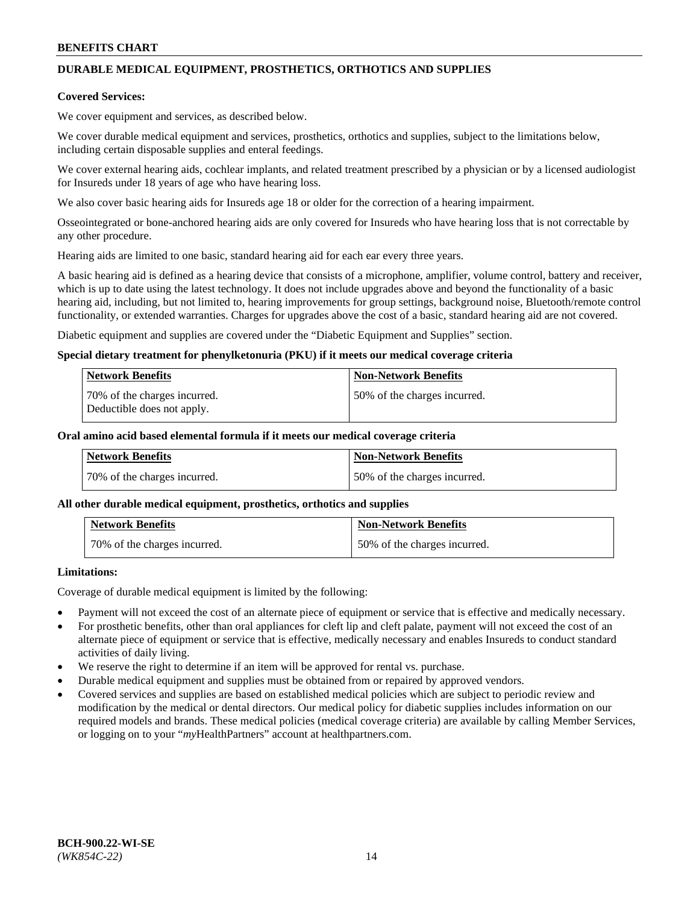# **DURABLE MEDICAL EQUIPMENT, PROSTHETICS, ORTHOTICS AND SUPPLIES**

#### **Covered Services:**

We cover equipment and services, as described below.

We cover durable medical equipment and services, prosthetics, orthotics and supplies, subject to the limitations below, including certain disposable supplies and enteral feedings.

We cover external hearing aids, cochlear implants, and related treatment prescribed by a physician or by a licensed audiologist for Insureds under 18 years of age who have hearing loss.

We also cover basic hearing aids for Insureds age 18 or older for the correction of a hearing impairment.

Osseointegrated or bone-anchored hearing aids are only covered for Insureds who have hearing loss that is not correctable by any other procedure.

Hearing aids are limited to one basic, standard hearing aid for each ear every three years.

A basic hearing aid is defined as a hearing device that consists of a microphone, amplifier, volume control, battery and receiver, which is up to date using the latest technology. It does not include upgrades above and beyond the functionality of a basic hearing aid, including, but not limited to, hearing improvements for group settings, background noise, Bluetooth/remote control functionality, or extended warranties. Charges for upgrades above the cost of a basic, standard hearing aid are not covered.

Diabetic equipment and supplies are covered under the "Diabetic Equipment and Supplies" section.

#### **Special dietary treatment for phenylketonuria (PKU) if it meets our medical coverage criteria**

| <b>Network Benefits</b>                                    | <b>Non-Network Benefits</b>  |
|------------------------------------------------------------|------------------------------|
| 70% of the charges incurred.<br>Deductible does not apply. | 50% of the charges incurred. |

#### **Oral amino acid based elemental formula if it meets our medical coverage criteria**

| Network Benefits             | <b>Non-Network Benefits</b>  |
|------------------------------|------------------------------|
| 70% of the charges incurred. | 50% of the charges incurred. |

#### **All other durable medical equipment, prosthetics, orthotics and supplies**

| <b>Network Benefits</b>      | <b>Non-Network Benefits</b>  |
|------------------------------|------------------------------|
| 70% of the charges incurred. | 50% of the charges incurred. |

## **Limitations:**

Coverage of durable medical equipment is limited by the following:

- Payment will not exceed the cost of an alternate piece of equipment or service that is effective and medically necessary.
- For prosthetic benefits, other than oral appliances for cleft lip and cleft palate, payment will not exceed the cost of an alternate piece of equipment or service that is effective, medically necessary and enables Insureds to conduct standard activities of daily living.
- We reserve the right to determine if an item will be approved for rental vs. purchase.
- Durable medical equipment and supplies must be obtained from or repaired by approved vendors.
- Covered services and supplies are based on established medical policies which are subject to periodic review and modification by the medical or dental directors. Our medical policy for diabetic supplies includes information on our required models and brands. These medical policies (medical coverage criteria) are available by calling Member Services, or logging on to your "*my*HealthPartners" account a[t healthpartners.com.](http://www.healthpartners.com/)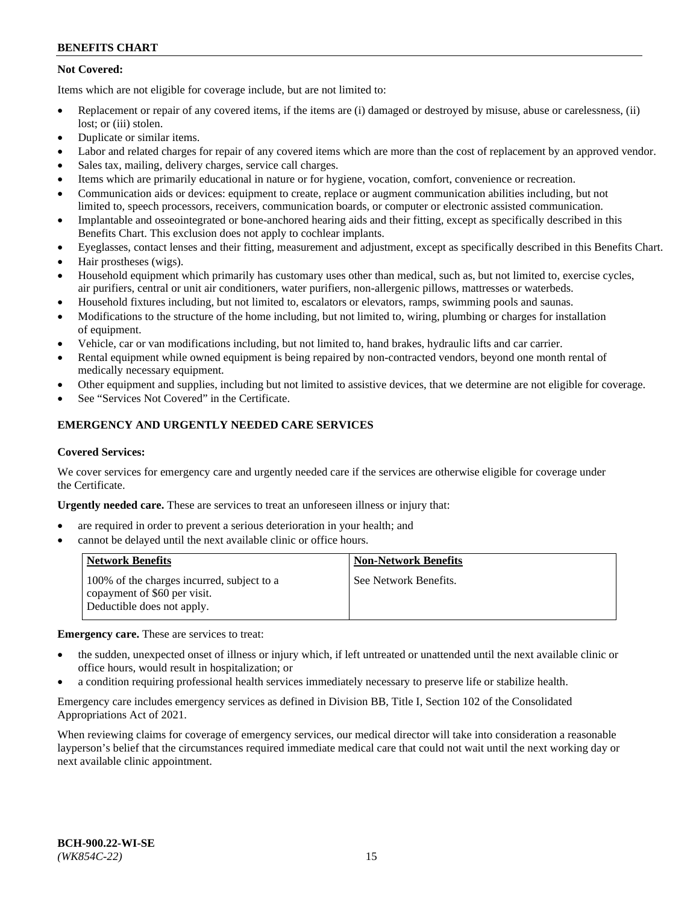## **Not Covered:**

Items which are not eligible for coverage include, but are not limited to:

- Replacement or repair of any covered items, if the items are (i) damaged or destroyed by misuse, abuse or carelessness, (ii) lost; or (iii) stolen.
- Duplicate or similar items.
- Labor and related charges for repair of any covered items which are more than the cost of replacement by an approved vendor.
- Sales tax, mailing, delivery charges, service call charges.
- Items which are primarily educational in nature or for hygiene, vocation, comfort, convenience or recreation.
- Communication aids or devices: equipment to create, replace or augment communication abilities including, but not limited to, speech processors, receivers, communication boards, or computer or electronic assisted communication.
- Implantable and osseointegrated or bone-anchored hearing aids and their fitting, except as specifically described in this Benefits Chart. This exclusion does not apply to cochlear implants.
- Eyeglasses, contact lenses and their fitting, measurement and adjustment, except as specifically described in this Benefits Chart.
- Hair prostheses (wigs).
- Household equipment which primarily has customary uses other than medical, such as, but not limited to, exercise cycles, air purifiers, central or unit air conditioners, water purifiers, non-allergenic pillows, mattresses or waterbeds.
- Household fixtures including, but not limited to, escalators or elevators, ramps, swimming pools and saunas.
- Modifications to the structure of the home including, but not limited to, wiring, plumbing or charges for installation of equipment.
- Vehicle, car or van modifications including, but not limited to, hand brakes, hydraulic lifts and car carrier.
- Rental equipment while owned equipment is being repaired by non-contracted vendors, beyond one month rental of medically necessary equipment.
- Other equipment and supplies, including but not limited to assistive devices, that we determine are not eligible for coverage.
- See "Services Not Covered" in the Certificate.

## **EMERGENCY AND URGENTLY NEEDED CARE SERVICES**

#### **Covered Services:**

We cover services for emergency care and urgently needed care if the services are otherwise eligible for coverage under the Certificate.

**Urgently needed care.** These are services to treat an unforeseen illness or injury that:

- are required in order to prevent a serious deterioration in your health; and
- cannot be delayed until the next available clinic or office hours.

| <b>Network Benefits</b>                                                                                  | <b>Non-Network Benefits</b> |
|----------------------------------------------------------------------------------------------------------|-----------------------------|
| 100% of the charges incurred, subject to a<br>copayment of \$60 per visit.<br>Deductible does not apply. | See Network Benefits.       |

**Emergency care.** These are services to treat:

- the sudden, unexpected onset of illness or injury which, if left untreated or unattended until the next available clinic or office hours, would result in hospitalization; or
- a condition requiring professional health services immediately necessary to preserve life or stabilize health.

Emergency care includes emergency services as defined in Division BB, Title I, Section 102 of the Consolidated Appropriations Act of 2021.

When reviewing claims for coverage of emergency services, our medical director will take into consideration a reasonable layperson's belief that the circumstances required immediate medical care that could not wait until the next working day or next available clinic appointment.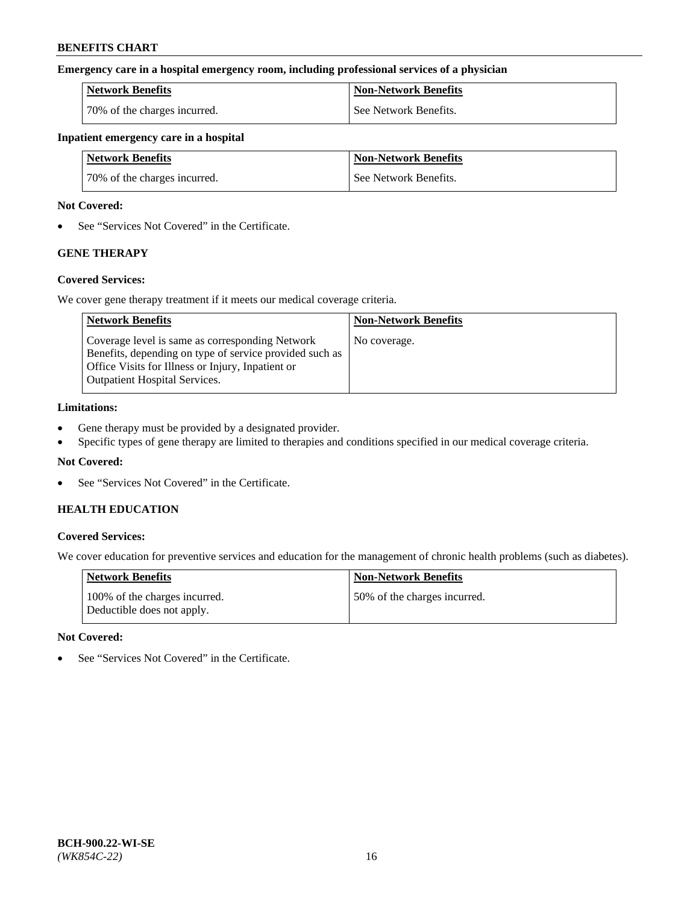#### **Emergency care in a hospital emergency room, including professional services of a physician**

| <b>Network Benefits</b>      | <b>Non-Network Benefits</b> |
|------------------------------|-----------------------------|
| 70% of the charges incurred. | See Network Benefits.       |

#### **Inpatient emergency care in a hospital**

| <b>Network Benefits</b>      | <b>Non-Network Benefits</b> |
|------------------------------|-----------------------------|
| 70% of the charges incurred. | See Network Benefits.       |

#### **Not Covered:**

• See "Services Not Covered" in the Certificate.

## **GENE THERAPY**

## **Covered Services:**

We cover gene therapy treatment if it meets our medical coverage criteria.

| <b>Network Benefits</b>                                                                                                                                                                                 | <b>Non-Network Benefits</b> |
|---------------------------------------------------------------------------------------------------------------------------------------------------------------------------------------------------------|-----------------------------|
| Coverage level is same as corresponding Network<br>Benefits, depending on type of service provided such as<br>Office Visits for Illness or Injury, Inpatient or<br><b>Outpatient Hospital Services.</b> | No coverage.                |

#### **Limitations:**

- Gene therapy must be provided by a designated provider.
- Specific types of gene therapy are limited to therapies and conditions specified in our medical coverage criteria.

## **Not Covered:**

• See "Services Not Covered" in the Certificate.

## **HEALTH EDUCATION**

## **Covered Services:**

We cover education for preventive services and education for the management of chronic health problems (such as diabetes).

| <b>Network Benefits</b>                                     | <b>Non-Network Benefits</b>  |
|-------------------------------------------------------------|------------------------------|
| 100% of the charges incurred.<br>Deductible does not apply. | 50% of the charges incurred. |

#### **Not Covered:**

• See "Services Not Covered" in the Certificate.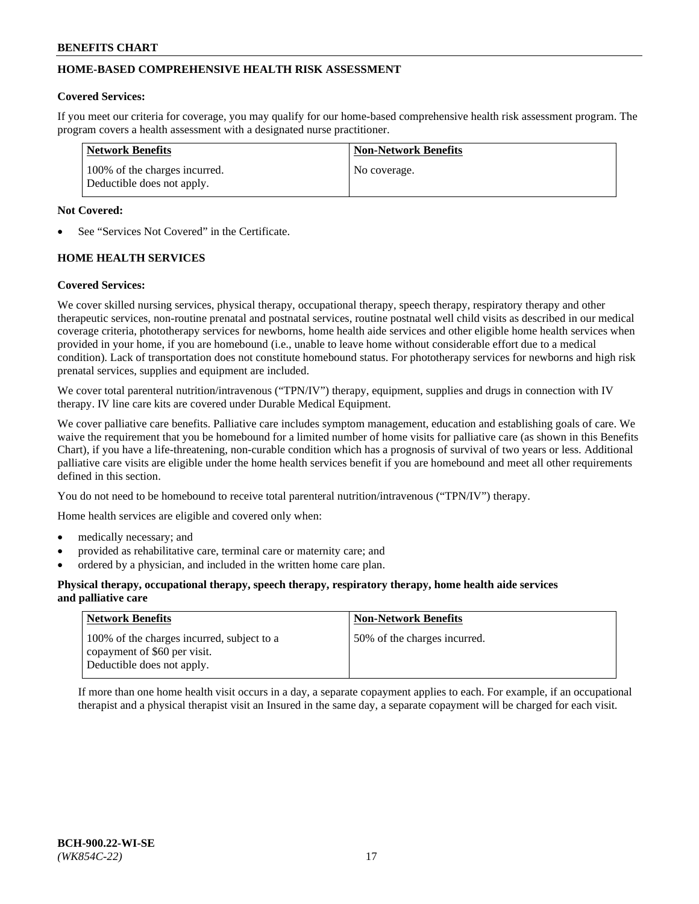## **HOME-BASED COMPREHENSIVE HEALTH RISK ASSESSMENT**

#### **Covered Services:**

If you meet our criteria for coverage, you may qualify for our home-based comprehensive health risk assessment program. The program covers a health assessment with a designated nurse practitioner.

| Network Benefits                                            | <b>Non-Network Benefits</b> |
|-------------------------------------------------------------|-----------------------------|
| 100% of the charges incurred.<br>Deductible does not apply. | No coverage.                |

#### **Not Covered:**

See "Services Not Covered" in the Certificate.

## **HOME HEALTH SERVICES**

#### **Covered Services:**

We cover skilled nursing services, physical therapy, occupational therapy, speech therapy, respiratory therapy and other therapeutic services, non-routine prenatal and postnatal services, routine postnatal well child visits as described in our medical coverage criteria, phototherapy services for newborns, home health aide services and other eligible home health services when provided in your home, if you are homebound (i.e., unable to leave home without considerable effort due to a medical condition). Lack of transportation does not constitute homebound status. For phototherapy services for newborns and high risk prenatal services, supplies and equipment are included.

We cover total parenteral nutrition/intravenous ("TPN/IV") therapy, equipment, supplies and drugs in connection with IV therapy. IV line care kits are covered under Durable Medical Equipment.

We cover palliative care benefits. Palliative care includes symptom management, education and establishing goals of care. We waive the requirement that you be homebound for a limited number of home visits for palliative care (as shown in this Benefits Chart), if you have a life-threatening, non-curable condition which has a prognosis of survival of two years or less. Additional palliative care visits are eligible under the home health services benefit if you are homebound and meet all other requirements defined in this section.

You do not need to be homebound to receive total parenteral nutrition/intravenous ("TPN/IV") therapy.

Home health services are eligible and covered only when:

- medically necessary; and
- provided as rehabilitative care, terminal care or maternity care; and
- ordered by a physician, and included in the written home care plan.

#### **Physical therapy, occupational therapy, speech therapy, respiratory therapy, home health aide services and palliative care**

| <b>Network Benefits</b>                                                                                  | <b>Non-Network Benefits</b>  |
|----------------------------------------------------------------------------------------------------------|------------------------------|
| 100% of the charges incurred, subject to a<br>copayment of \$60 per visit.<br>Deductible does not apply. | 50% of the charges incurred. |

If more than one home health visit occurs in a day, a separate copayment applies to each. For example, if an occupational therapist and a physical therapist visit an Insured in the same day, a separate copayment will be charged for each visit.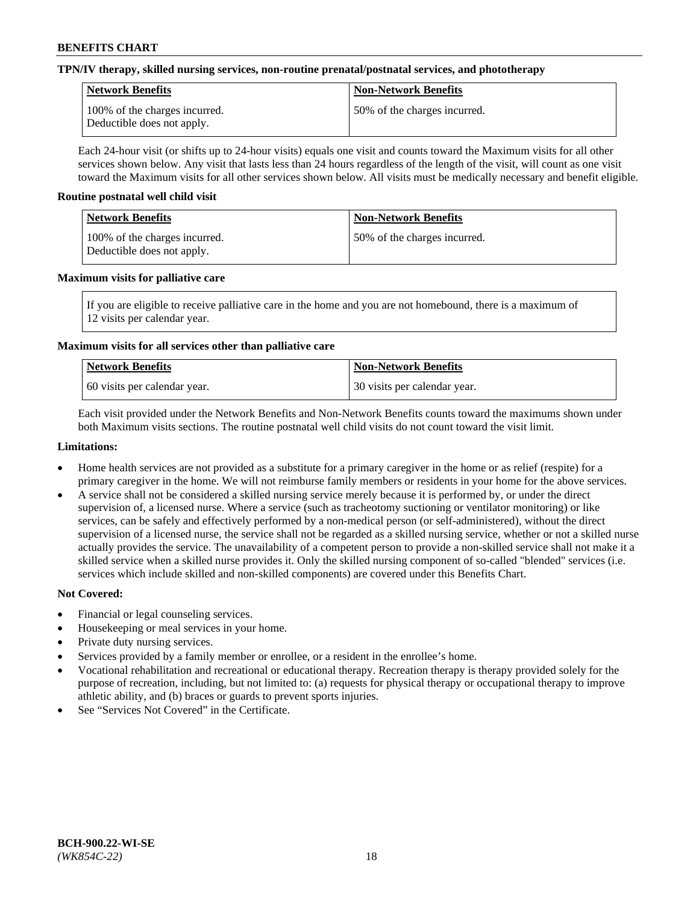#### **TPN/IV therapy, skilled nursing services, non-routine prenatal/postnatal services, and phototherapy**

| Network Benefits                                            | <b>Non-Network Benefits</b>  |
|-------------------------------------------------------------|------------------------------|
| 100% of the charges incurred.<br>Deductible does not apply. | 50% of the charges incurred. |

Each 24-hour visit (or shifts up to 24-hour visits) equals one visit and counts toward the Maximum visits for all other services shown below. Any visit that lasts less than 24 hours regardless of the length of the visit, will count as one visit toward the Maximum visits for all other services shown below. All visits must be medically necessary and benefit eligible.

#### **Routine postnatal well child visit**

| Network Benefits                                            | <b>Non-Network Benefits</b>  |
|-------------------------------------------------------------|------------------------------|
| 100% of the charges incurred.<br>Deductible does not apply. | 50% of the charges incurred. |

#### **Maximum visits for palliative care**

If you are eligible to receive palliative care in the home and you are not homebound, there is a maximum of 12 visits per calendar year.

## **Maximum visits for all services other than palliative care**

| Network Benefits               | <b>Non-Network Benefits</b>  |
|--------------------------------|------------------------------|
| 1.60 visits per calendar year. | 30 visits per calendar year. |

Each visit provided under the Network Benefits and Non-Network Benefits counts toward the maximums shown under both Maximum visits sections. The routine postnatal well child visits do not count toward the visit limit.

#### **Limitations:**

- Home health services are not provided as a substitute for a primary caregiver in the home or as relief (respite) for a primary caregiver in the home. We will not reimburse family members or residents in your home for the above services.
- A service shall not be considered a skilled nursing service merely because it is performed by, or under the direct supervision of, a licensed nurse. Where a service (such as tracheotomy suctioning or ventilator monitoring) or like services, can be safely and effectively performed by a non-medical person (or self-administered), without the direct supervision of a licensed nurse, the service shall not be regarded as a skilled nursing service, whether or not a skilled nurse actually provides the service. The unavailability of a competent person to provide a non-skilled service shall not make it a skilled service when a skilled nurse provides it. Only the skilled nursing component of so-called "blended" services (i.e. services which include skilled and non-skilled components) are covered under this Benefits Chart.

## **Not Covered:**

- Financial or legal counseling services.
- Housekeeping or meal services in your home.
- Private duty nursing services.
- Services provided by a family member or enrollee, or a resident in the enrollee's home.
- Vocational rehabilitation and recreational or educational therapy. Recreation therapy is therapy provided solely for the purpose of recreation, including, but not limited to: (a) requests for physical therapy or occupational therapy to improve athletic ability, and (b) braces or guards to prevent sports injuries.
- See "Services Not Covered" in the Certificate.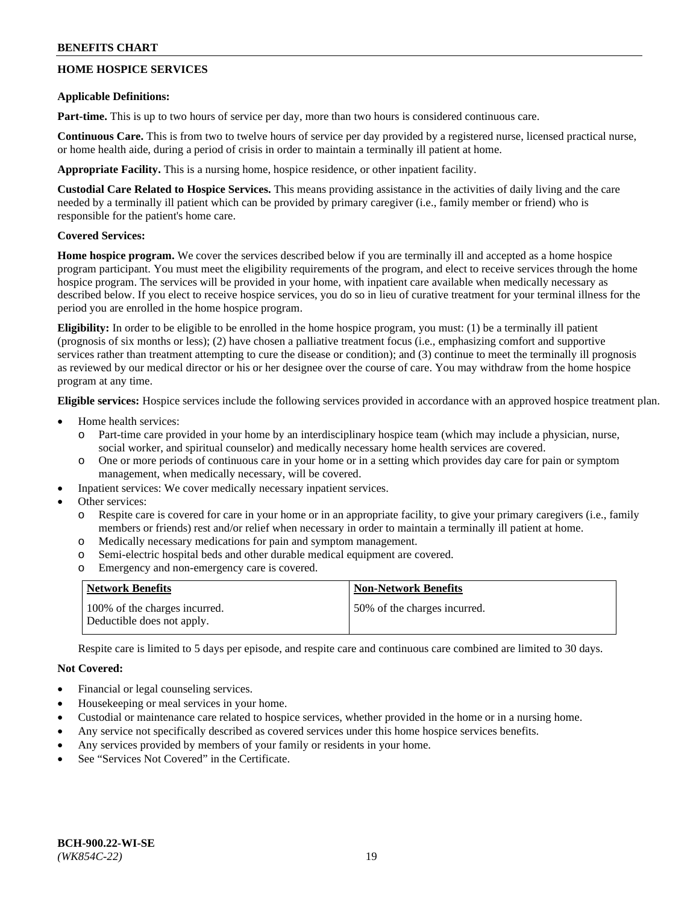## **HOME HOSPICE SERVICES**

#### **Applicable Definitions:**

**Part-time.** This is up to two hours of service per day, more than two hours is considered continuous care.

**Continuous Care.** This is from two to twelve hours of service per day provided by a registered nurse, licensed practical nurse, or home health aide, during a period of crisis in order to maintain a terminally ill patient at home.

**Appropriate Facility.** This is a nursing home, hospice residence, or other inpatient facility.

**Custodial Care Related to Hospice Services.** This means providing assistance in the activities of daily living and the care needed by a terminally ill patient which can be provided by primary caregiver (i.e., family member or friend) who is responsible for the patient's home care.

## **Covered Services:**

**Home hospice program.** We cover the services described below if you are terminally ill and accepted as a home hospice program participant. You must meet the eligibility requirements of the program, and elect to receive services through the home hospice program. The services will be provided in your home, with inpatient care available when medically necessary as described below. If you elect to receive hospice services, you do so in lieu of curative treatment for your terminal illness for the period you are enrolled in the home hospice program.

**Eligibility:** In order to be eligible to be enrolled in the home hospice program, you must: (1) be a terminally ill patient (prognosis of six months or less); (2) have chosen a palliative treatment focus (i.e., emphasizing comfort and supportive services rather than treatment attempting to cure the disease or condition); and (3) continue to meet the terminally ill prognosis as reviewed by our medical director or his or her designee over the course of care. You may withdraw from the home hospice program at any time.

**Eligible services:** Hospice services include the following services provided in accordance with an approved hospice treatment plan.

- Home health services:
	- Part-time care provided in your home by an interdisciplinary hospice team (which may include a physician, nurse, social worker, and spiritual counselor) and medically necessary home health services are covered.
	- o One or more periods of continuous care in your home or in a setting which provides day care for pain or symptom management, when medically necessary, will be covered.
	- Inpatient services: We cover medically necessary inpatient services.
- Other services:
	- Respite care is covered for care in your home or in an appropriate facility, to give your primary caregivers (i.e., family members or friends) rest and/or relief when necessary in order to maintain a terminally ill patient at home.
	- o Medically necessary medications for pain and symptom management.
	- o Semi-electric hospital beds and other durable medical equipment are covered.
	- o Emergency and non-emergency care is covered.

| Network Benefits                                            | <b>Non-Network Benefits</b>  |
|-------------------------------------------------------------|------------------------------|
| 100% of the charges incurred.<br>Deductible does not apply. | 50% of the charges incurred. |

Respite care is limited to 5 days per episode, and respite care and continuous care combined are limited to 30 days.

## **Not Covered:**

- Financial or legal counseling services.
- Housekeeping or meal services in your home.
- Custodial or maintenance care related to hospice services, whether provided in the home or in a nursing home.
- Any service not specifically described as covered services under this home hospice services benefits.
- Any services provided by members of your family or residents in your home.
- See "Services Not Covered" in the Certificate.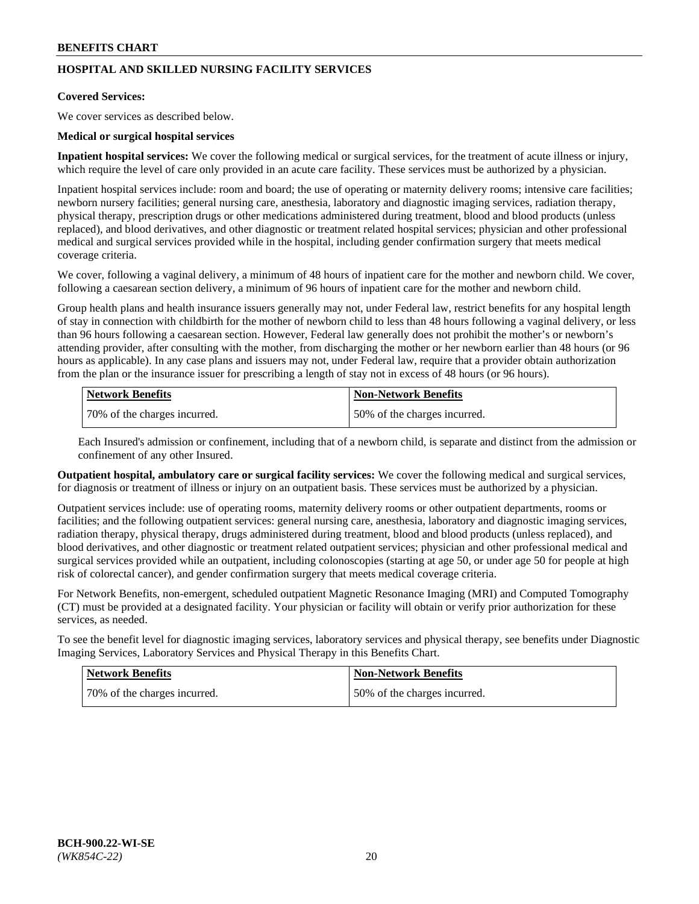## **HOSPITAL AND SKILLED NURSING FACILITY SERVICES**

#### **Covered Services:**

We cover services as described below.

#### **Medical or surgical hospital services**

**Inpatient hospital services:** We cover the following medical or surgical services, for the treatment of acute illness or injury, which require the level of care only provided in an acute care facility. These services must be authorized by a physician.

Inpatient hospital services include: room and board; the use of operating or maternity delivery rooms; intensive care facilities; newborn nursery facilities; general nursing care, anesthesia, laboratory and diagnostic imaging services, radiation therapy, physical therapy, prescription drugs or other medications administered during treatment, blood and blood products (unless replaced), and blood derivatives, and other diagnostic or treatment related hospital services; physician and other professional medical and surgical services provided while in the hospital, including gender confirmation surgery that meets medical coverage criteria.

We cover, following a vaginal delivery, a minimum of 48 hours of inpatient care for the mother and newborn child. We cover, following a caesarean section delivery, a minimum of 96 hours of inpatient care for the mother and newborn child.

Group health plans and health insurance issuers generally may not, under Federal law, restrict benefits for any hospital length of stay in connection with childbirth for the mother of newborn child to less than 48 hours following a vaginal delivery, or less than 96 hours following a caesarean section. However, Federal law generally does not prohibit the mother's or newborn's attending provider, after consulting with the mother, from discharging the mother or her newborn earlier than 48 hours (or 96 hours as applicable). In any case plans and issuers may not, under Federal law, require that a provider obtain authorization from the plan or the insurance issuer for prescribing a length of stay not in excess of 48 hours (or 96 hours).

| Network Benefits             | Non-Network Benefits         |
|------------------------------|------------------------------|
| 70% of the charges incurred. | 50% of the charges incurred. |

Each Insured's admission or confinement, including that of a newborn child, is separate and distinct from the admission or confinement of any other Insured.

**Outpatient hospital, ambulatory care or surgical facility services:** We cover the following medical and surgical services, for diagnosis or treatment of illness or injury on an outpatient basis. These services must be authorized by a physician.

Outpatient services include: use of operating rooms, maternity delivery rooms or other outpatient departments, rooms or facilities; and the following outpatient services: general nursing care, anesthesia, laboratory and diagnostic imaging services, radiation therapy, physical therapy, drugs administered during treatment, blood and blood products (unless replaced), and blood derivatives, and other diagnostic or treatment related outpatient services; physician and other professional medical and surgical services provided while an outpatient, including colonoscopies (starting at age 50, or under age 50 for people at high risk of colorectal cancer), and gender confirmation surgery that meets medical coverage criteria.

For Network Benefits, non-emergent, scheduled outpatient Magnetic Resonance Imaging (MRI) and Computed Tomography (CT) must be provided at a designated facility. Your physician or facility will obtain or verify prior authorization for these services, as needed.

To see the benefit level for diagnostic imaging services, laboratory services and physical therapy, see benefits under Diagnostic Imaging Services, Laboratory Services and Physical Therapy in this Benefits Chart.

| <b>Network Benefits</b>      | <b>Non-Network Benefits</b>   |
|------------------------------|-------------------------------|
| 70% of the charges incurred. | 150% of the charges incurred. |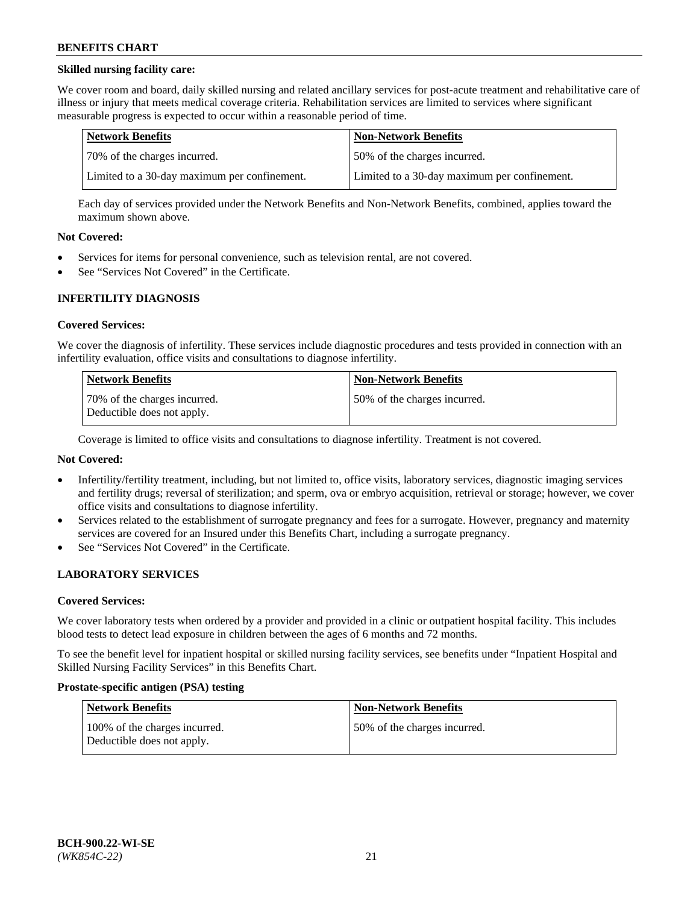### **Skilled nursing facility care:**

We cover room and board, daily skilled nursing and related ancillary services for post-acute treatment and rehabilitative care of illness or injury that meets medical coverage criteria. Rehabilitation services are limited to services where significant measurable progress is expected to occur within a reasonable period of time.

| Network Benefits                             | <b>Non-Network Benefits</b>                  |
|----------------------------------------------|----------------------------------------------|
| 170% of the charges incurred.                | 50% of the charges incurred.                 |
| Limited to a 30-day maximum per confinement. | Limited to a 30-day maximum per confinement. |

Each day of services provided under the Network Benefits and Non-Network Benefits, combined, applies toward the maximum shown above.

#### **Not Covered:**

- Services for items for personal convenience, such as television rental, are not covered.
- See "Services Not Covered" in the Certificate.

#### **INFERTILITY DIAGNOSIS**

#### **Covered Services:**

We cover the diagnosis of infertility. These services include diagnostic procedures and tests provided in connection with an infertility evaluation, office visits and consultations to diagnose infertility.

| Network Benefits                                           | <b>Non-Network Benefits</b>  |
|------------------------------------------------------------|------------------------------|
| 70% of the charges incurred.<br>Deductible does not apply. | 50% of the charges incurred. |

Coverage is limited to office visits and consultations to diagnose infertility. Treatment is not covered.

## **Not Covered:**

- Infertility/fertility treatment, including, but not limited to, office visits, laboratory services, diagnostic imaging services and fertility drugs; reversal of sterilization; and sperm, ova or embryo acquisition, retrieval or storage; however, we cover office visits and consultations to diagnose infertility.
- Services related to the establishment of surrogate pregnancy and fees for a surrogate. However, pregnancy and maternity services are covered for an Insured under this Benefits Chart, including a surrogate pregnancy.
- See "Services Not Covered" in the Certificate.

## **LABORATORY SERVICES**

#### **Covered Services:**

We cover laboratory tests when ordered by a provider and provided in a clinic or outpatient hospital facility. This includes blood tests to detect lead exposure in children between the ages of 6 months and 72 months.

To see the benefit level for inpatient hospital or skilled nursing facility services, see benefits under "Inpatient Hospital and Skilled Nursing Facility Services" in this Benefits Chart.

#### **Prostate-specific antigen (PSA) testing**

| Network Benefits                                            | <b>Non-Network Benefits</b>  |
|-------------------------------------------------------------|------------------------------|
| 100% of the charges incurred.<br>Deductible does not apply. | 50% of the charges incurred. |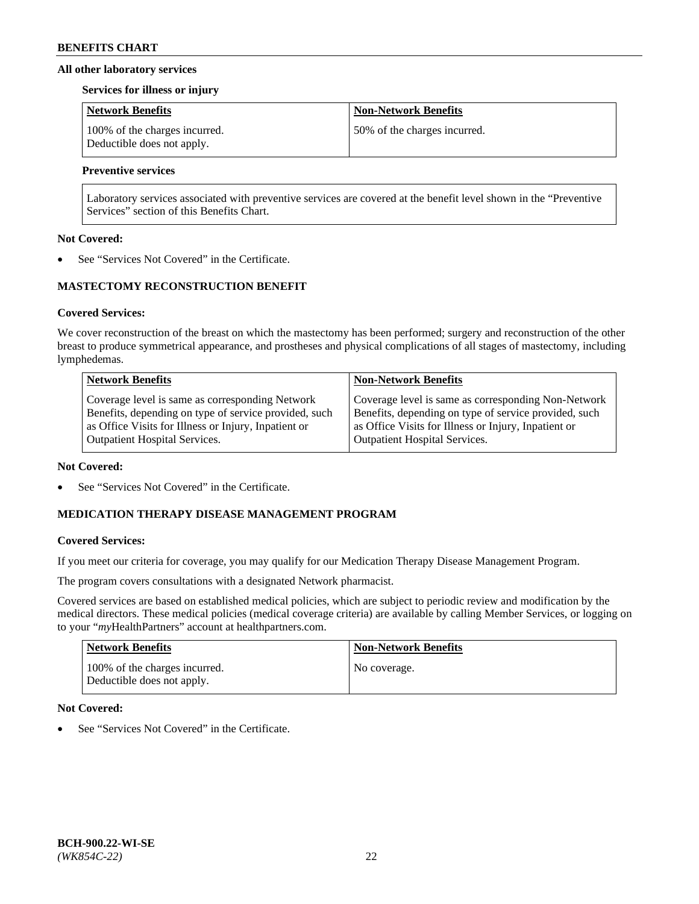#### **All other laboratory services**

#### **Services for illness or injury**

| Network Benefits                                            | <b>Non-Network Benefits</b>  |
|-------------------------------------------------------------|------------------------------|
| 100% of the charges incurred.<br>Deductible does not apply. | 50% of the charges incurred. |

## **Preventive services**

Laboratory services associated with preventive services are covered at the benefit level shown in the "Preventive Services" section of this Benefits Chart.

#### **Not Covered:**

See "Services Not Covered" in the Certificate.

## **MASTECTOMY RECONSTRUCTION BENEFIT**

#### **Covered Services:**

We cover reconstruction of the breast on which the mastectomy has been performed; surgery and reconstruction of the other breast to produce symmetrical appearance, and prostheses and physical complications of all stages of mastectomy, including lymphedemas.

| <b>Network Benefits</b>                               | <b>Non-Network Benefits</b>                           |
|-------------------------------------------------------|-------------------------------------------------------|
| Coverage level is same as corresponding Network       | Coverage level is same as corresponding Non-Network   |
| Benefits, depending on type of service provided, such | Benefits, depending on type of service provided, such |
| as Office Visits for Illness or Injury, Inpatient or  | as Office Visits for Illness or Injury, Inpatient or  |
| <b>Outpatient Hospital Services.</b>                  | Outpatient Hospital Services.                         |

#### **Not Covered:**

See "Services Not Covered" in the Certificate.

## **MEDICATION THERAPY DISEASE MANAGEMENT PROGRAM**

## **Covered Services:**

If you meet our criteria for coverage, you may qualify for our Medication Therapy Disease Management Program.

The program covers consultations with a designated Network pharmacist.

Covered services are based on established medical policies, which are subject to periodic review and modification by the medical directors. These medical policies (medical coverage criteria) are available by calling Member Services, or logging on to your "*my*HealthPartners" account at [healthpartners.com.](http://www.healthpartners.com/)

| <b>Network Benefits</b>                                     | <b>Non-Network Benefits</b> |
|-------------------------------------------------------------|-----------------------------|
| 100% of the charges incurred.<br>Deductible does not apply. | No coverage.                |

## **Not Covered:**

See "Services Not Covered" in the Certificate.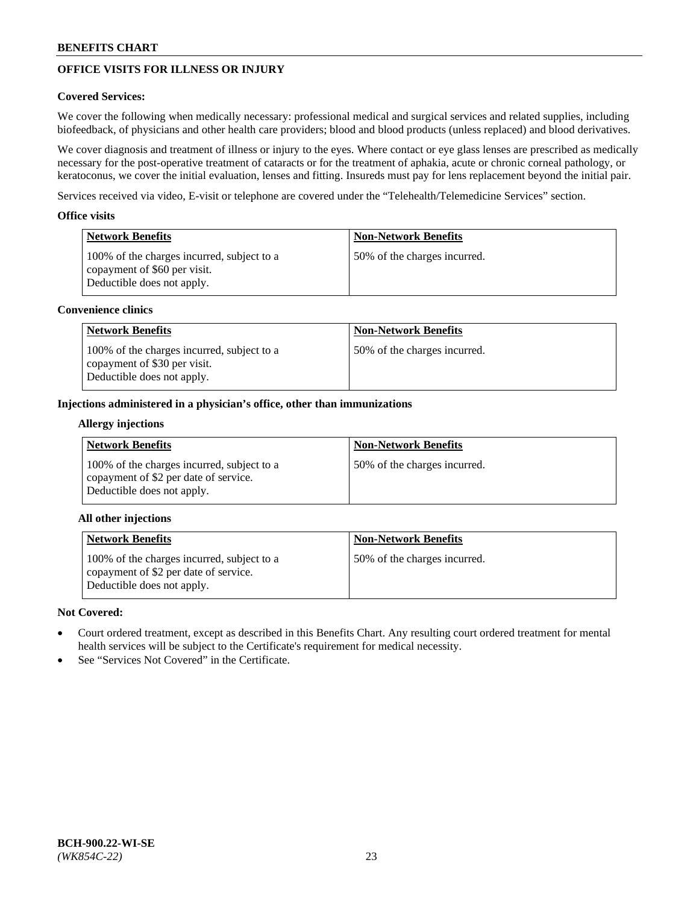# **OFFICE VISITS FOR ILLNESS OR INJURY**

### **Covered Services:**

We cover the following when medically necessary: professional medical and surgical services and related supplies, including biofeedback, of physicians and other health care providers; blood and blood products (unless replaced) and blood derivatives.

We cover diagnosis and treatment of illness or injury to the eyes. Where contact or eye glass lenses are prescribed as medically necessary for the post-operative treatment of cataracts or for the treatment of aphakia, acute or chronic corneal pathology, or keratoconus, we cover the initial evaluation, lenses and fitting. Insureds must pay for lens replacement beyond the initial pair.

Services received via video, E-visit or telephone are covered under the "Telehealth/Telemedicine Services" section.

#### **Office visits**

| Network Benefits                                                                                         | <b>Non-Network Benefits</b>  |
|----------------------------------------------------------------------------------------------------------|------------------------------|
| 100% of the charges incurred, subject to a<br>copayment of \$60 per visit.<br>Deductible does not apply. | 50% of the charges incurred. |

#### **Convenience clinics**

| <b>Network Benefits</b>                                                                                  | <b>Non-Network Benefits</b>  |
|----------------------------------------------------------------------------------------------------------|------------------------------|
| 100% of the charges incurred, subject to a<br>copayment of \$30 per visit.<br>Deductible does not apply. | 50% of the charges incurred. |

#### **Injections administered in a physician's office, other than immunizations**

#### **Allergy injections**

| <b>Network Benefits</b>                                                                                           | <b>Non-Network Benefits</b>  |
|-------------------------------------------------------------------------------------------------------------------|------------------------------|
| 100% of the charges incurred, subject to a<br>copayment of \$2 per date of service.<br>Deductible does not apply. | 50% of the charges incurred. |

## **All other injections**

| <b>Network Benefits</b>                                                                                           | <b>Non-Network Benefits</b>  |
|-------------------------------------------------------------------------------------------------------------------|------------------------------|
| 100% of the charges incurred, subject to a<br>copayment of \$2 per date of service.<br>Deductible does not apply. | 50% of the charges incurred. |

## **Not Covered:**

- Court ordered treatment, except as described in this Benefits Chart. Any resulting court ordered treatment for mental health services will be subject to the Certificate's requirement for medical necessity.
- See "Services Not Covered" in the Certificate.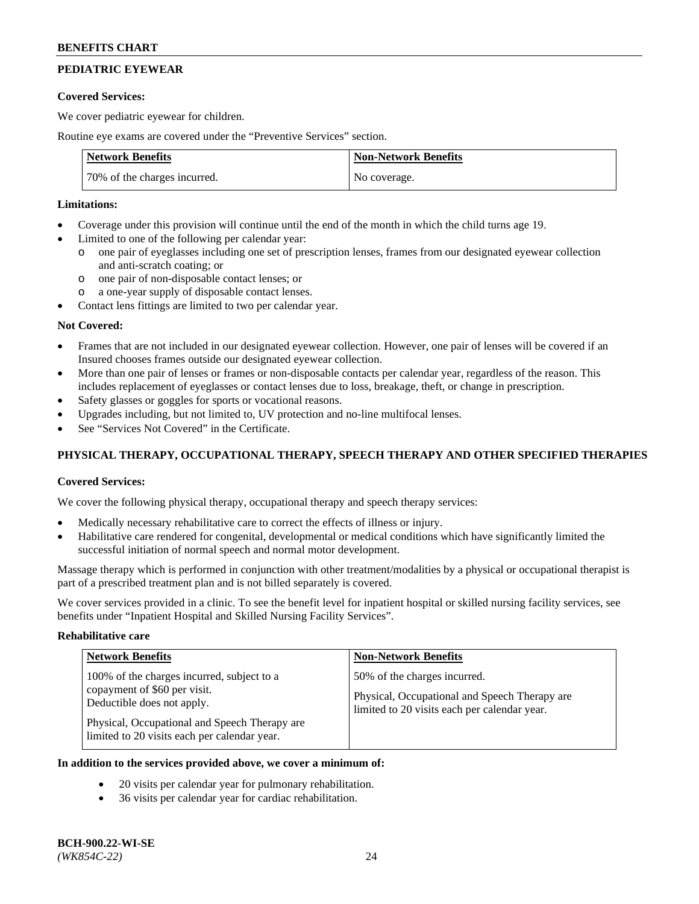# **PEDIATRIC EYEWEAR**

#### **Covered Services:**

We cover pediatric eyewear for children.

Routine eye exams are covered under the "Preventive Services" section.

| <b>Network Benefits</b>      | <b>Non-Network Benefits</b> |
|------------------------------|-----------------------------|
| 70% of the charges incurred. | No coverage.                |

#### **Limitations:**

- Coverage under this provision will continue until the end of the month in which the child turns age 19.
- Limited to one of the following per calendar year:
	- o one pair of eyeglasses including one set of prescription lenses, frames from our designated eyewear collection and anti-scratch coating; or
	- o one pair of non-disposable contact lenses; or
	- o a one-year supply of disposable contact lenses.
- Contact lens fittings are limited to two per calendar year.

## **Not Covered:**

- Frames that are not included in our designated eyewear collection. However, one pair of lenses will be covered if an Insured chooses frames outside our designated eyewear collection.
- More than one pair of lenses or frames or non-disposable contacts per calendar year, regardless of the reason. This includes replacement of eyeglasses or contact lenses due to loss, breakage, theft, or change in prescription.
- Safety glasses or goggles for sports or vocational reasons.
- Upgrades including, but not limited to, UV protection and no-line multifocal lenses.
- See "Services Not Covered" in the Certificate.

## **PHYSICAL THERAPY, OCCUPATIONAL THERAPY, SPEECH THERAPY AND OTHER SPECIFIED THERAPIES**

## **Covered Services:**

We cover the following physical therapy, occupational therapy and speech therapy services:

- Medically necessary rehabilitative care to correct the effects of illness or injury.
- Habilitative care rendered for congenital, developmental or medical conditions which have significantly limited the successful initiation of normal speech and normal motor development.

Massage therapy which is performed in conjunction with other treatment/modalities by a physical or occupational therapist is part of a prescribed treatment plan and is not billed separately is covered.

We cover services provided in a clinic. To see the benefit level for inpatient hospital or skilled nursing facility services, see benefits under "Inpatient Hospital and Skilled Nursing Facility Services".

#### **Rehabilitative care**

| <b>Network Benefits</b>                                                                                                                                                                                   | <b>Non-Network Benefits</b>                                                                                                   |
|-----------------------------------------------------------------------------------------------------------------------------------------------------------------------------------------------------------|-------------------------------------------------------------------------------------------------------------------------------|
| 100% of the charges incurred, subject to a<br>copayment of \$60 per visit.<br>Deductible does not apply.<br>Physical, Occupational and Speech Therapy are<br>limited to 20 visits each per calendar year. | 50% of the charges incurred.<br>Physical, Occupational and Speech Therapy are<br>limited to 20 visits each per calendar year. |

## **In addition to the services provided above, we cover a minimum of:**

- 20 visits per calendar year for pulmonary rehabilitation.
- 36 visits per calendar year for cardiac rehabilitation.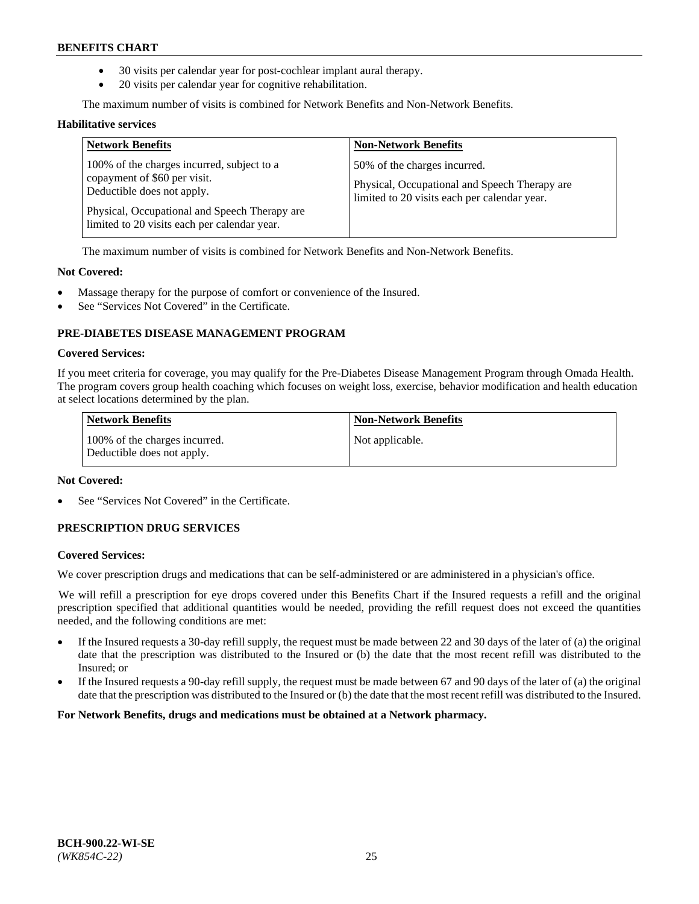- 30 visits per calendar year for post-cochlear implant aural therapy.
- 20 visits per calendar year for cognitive rehabilitation.

The maximum number of visits is combined for Network Benefits and Non-Network Benefits.

#### **Habilitative services**

| <b>Network Benefits</b>                                                                                                                                                                                   | <b>Non-Network Benefits</b>                                                                                                   |
|-----------------------------------------------------------------------------------------------------------------------------------------------------------------------------------------------------------|-------------------------------------------------------------------------------------------------------------------------------|
| 100% of the charges incurred, subject to a<br>copayment of \$60 per visit.<br>Deductible does not apply.<br>Physical, Occupational and Speech Therapy are<br>limited to 20 visits each per calendar year. | 50% of the charges incurred.<br>Physical, Occupational and Speech Therapy are<br>limited to 20 visits each per calendar year. |

The maximum number of visits is combined for Network Benefits and Non-Network Benefits.

#### **Not Covered:**

- Massage therapy for the purpose of comfort or convenience of the Insured.
- See "Services Not Covered" in the Certificate.

## **PRE-DIABETES DISEASE MANAGEMENT PROGRAM**

#### **Covered Services:**

If you meet criteria for coverage, you may qualify for the Pre-Diabetes Disease Management Program through Omada Health. The program covers group health coaching which focuses on weight loss, exercise, behavior modification and health education at select locations determined by the plan.

| <b>Network Benefits</b>                                     | <b>Non-Network Benefits</b> |
|-------------------------------------------------------------|-----------------------------|
| 100% of the charges incurred.<br>Deductible does not apply. | Not applicable.             |

## **Not Covered:**

See "Services Not Covered" in the Certificate.

## **PRESCRIPTION DRUG SERVICES**

#### **Covered Services:**

We cover prescription drugs and medications that can be self-administered or are administered in a physician's office.

We will refill a prescription for eye drops covered under this Benefits Chart if the Insured requests a refill and the original prescription specified that additional quantities would be needed, providing the refill request does not exceed the quantities needed, and the following conditions are met:

- If the Insured requests a 30-day refill supply, the request must be made between 22 and 30 days of the later of (a) the original date that the prescription was distributed to the Insured or (b) the date that the most recent refill was distributed to the Insured; or
- If the Insured requests a 90-day refill supply, the request must be made between 67 and 90 days of the later of (a) the original date that the prescription was distributed to the Insured or (b) the date that the most recent refill was distributed to the Insured.

**For Network Benefits, drugs and medications must be obtained at a Network pharmacy.**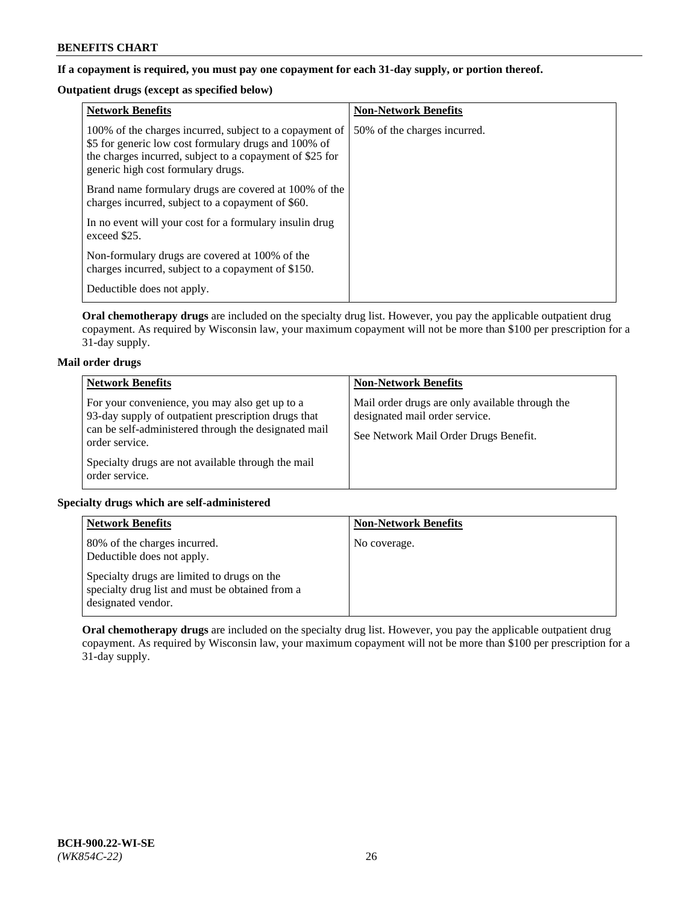## **If a copayment is required, you must pay one copayment for each 31-day supply, or portion thereof.**

# **Outpatient drugs (except as specified below)**

| <b>Network Benefits</b>                                                                                                                                                                                           | <b>Non-Network Benefits</b>  |
|-------------------------------------------------------------------------------------------------------------------------------------------------------------------------------------------------------------------|------------------------------|
| 100% of the charges incurred, subject to a copayment of<br>\$5 for generic low cost formulary drugs and 100% of<br>the charges incurred, subject to a copayment of \$25 for<br>generic high cost formulary drugs. | 50% of the charges incurred. |
| Brand name formulary drugs are covered at 100% of the<br>charges incurred, subject to a copayment of \$60.                                                                                                        |                              |
| In no event will your cost for a formulary insulin drug<br>exceed \$25.                                                                                                                                           |                              |
| Non-formulary drugs are covered at 100% of the<br>charges incurred, subject to a copayment of \$150.                                                                                                              |                              |
| Deductible does not apply.                                                                                                                                                                                        |                              |

**Oral chemotherapy drugs** are included on the specialty drug list. However, you pay the applicable outpatient drug copayment. As required by Wisconsin law, your maximum copayment will not be more than \$100 per prescription for a 31-day supply.

## **Mail order drugs**

| <b>Network Benefits</b>                                                                                                                                                         | <b>Non-Network Benefits</b>                                                                                                |
|---------------------------------------------------------------------------------------------------------------------------------------------------------------------------------|----------------------------------------------------------------------------------------------------------------------------|
| For your convenience, you may also get up to a<br>93-day supply of outpatient prescription drugs that<br>can be self-administered through the designated mail<br>order service. | Mail order drugs are only available through the<br>designated mail order service.<br>See Network Mail Order Drugs Benefit. |
| Specialty drugs are not available through the mail<br>order service.                                                                                                            |                                                                                                                            |

## **Specialty drugs which are self-administered**

| <b>Network Benefits</b>                                                                                              | <b>Non-Network Benefits</b> |
|----------------------------------------------------------------------------------------------------------------------|-----------------------------|
| 80% of the charges incurred.<br>Deductible does not apply.                                                           | No coverage.                |
| Specialty drugs are limited to drugs on the<br>specialty drug list and must be obtained from a<br>designated vendor. |                             |

**Oral chemotherapy drugs** are included on the specialty drug list. However, you pay the applicable outpatient drug copayment. As required by Wisconsin law, your maximum copayment will not be more than \$100 per prescription for a 31-day supply.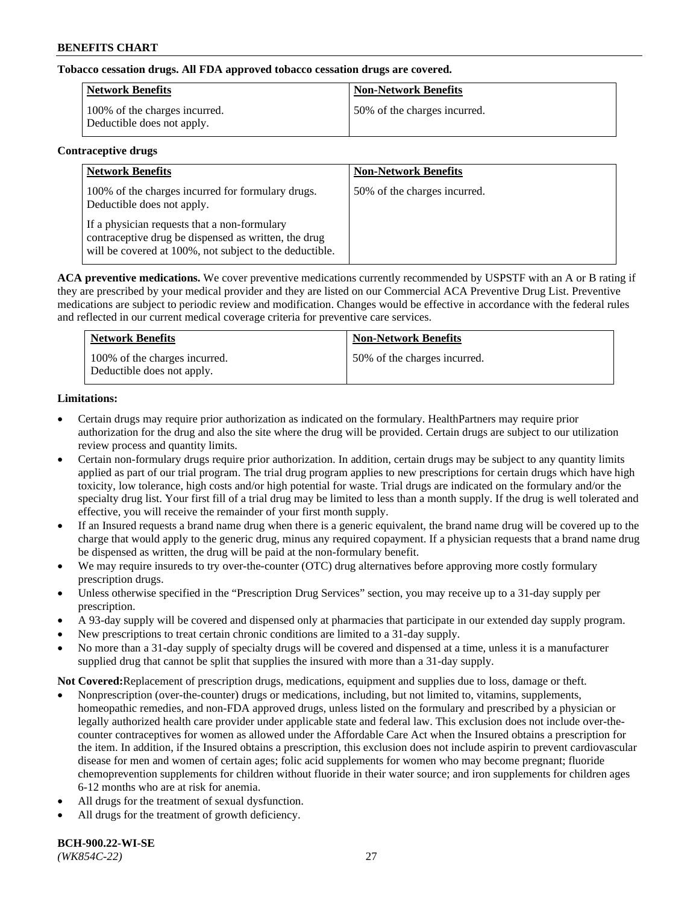## **Tobacco cessation drugs. All FDA approved tobacco cessation drugs are covered.**

| Network Benefits                                            | <b>Non-Network Benefits</b>  |
|-------------------------------------------------------------|------------------------------|
| 100% of the charges incurred.<br>Deductible does not apply. | 50% of the charges incurred. |

#### **Contraceptive drugs**

| <b>Network Benefits</b>                                                                                                                                         | <b>Non-Network Benefits</b>  |
|-----------------------------------------------------------------------------------------------------------------------------------------------------------------|------------------------------|
| 100% of the charges incurred for formulary drugs.<br>Deductible does not apply.                                                                                 | 50% of the charges incurred. |
| If a physician requests that a non-formulary<br>contraceptive drug be dispensed as written, the drug<br>will be covered at 100%, not subject to the deductible. |                              |

**ACA preventive medications.** We cover preventive medications currently recommended by USPSTF with an A or B rating if they are prescribed by your medical provider and they are listed on our Commercial ACA Preventive Drug List. Preventive medications are subject to periodic review and modification. Changes would be effective in accordance with the federal rules and reflected in our current medical coverage criteria for preventive care services.

| <b>Network Benefits</b>                                     | <b>Non-Network Benefits</b>  |
|-------------------------------------------------------------|------------------------------|
| 100% of the charges incurred.<br>Deductible does not apply. | 50% of the charges incurred. |

## **Limitations:**

- Certain drugs may require prior authorization as indicated on the formulary. HealthPartners may require prior authorization for the drug and also the site where the drug will be provided. Certain drugs are subject to our utilization review process and quantity limits.
- Certain non-formulary drugs require prior authorization. In addition, certain drugs may be subject to any quantity limits applied as part of our trial program. The trial drug program applies to new prescriptions for certain drugs which have high toxicity, low tolerance, high costs and/or high potential for waste. Trial drugs are indicated on the formulary and/or the specialty drug list. Your first fill of a trial drug may be limited to less than a month supply. If the drug is well tolerated and effective, you will receive the remainder of your first month supply.
- If an Insured requests a brand name drug when there is a generic equivalent, the brand name drug will be covered up to the charge that would apply to the generic drug, minus any required copayment. If a physician requests that a brand name drug be dispensed as written, the drug will be paid at the non-formulary benefit.
- We may require insureds to try over-the-counter (OTC) drug alternatives before approving more costly formulary prescription drugs.
- Unless otherwise specified in the "Prescription Drug Services" section, you may receive up to a 31-day supply per prescription.
- A 93-day supply will be covered and dispensed only at pharmacies that participate in our extended day supply program.
- New prescriptions to treat certain chronic conditions are limited to a 31-day supply.
- No more than a 31-day supply of specialty drugs will be covered and dispensed at a time, unless it is a manufacturer supplied drug that cannot be split that supplies the insured with more than a 31-day supply.

**Not Covered:**Replacement of prescription drugs, medications, equipment and supplies due to loss, damage or theft.

- Nonprescription (over-the-counter) drugs or medications, including, but not limited to, vitamins, supplements, homeopathic remedies, and non-FDA approved drugs, unless listed on the formulary and prescribed by a physician or legally authorized health care provider under applicable state and federal law. This exclusion does not include over-thecounter contraceptives for women as allowed under the Affordable Care Act when the Insured obtains a prescription for the item. In addition, if the Insured obtains a prescription, this exclusion does not include aspirin to prevent cardiovascular disease for men and women of certain ages; folic acid supplements for women who may become pregnant; fluoride chemoprevention supplements for children without fluoride in their water source; and iron supplements for children ages 6-12 months who are at risk for anemia.
- All drugs for the treatment of sexual dysfunction.
- All drugs for the treatment of growth deficiency.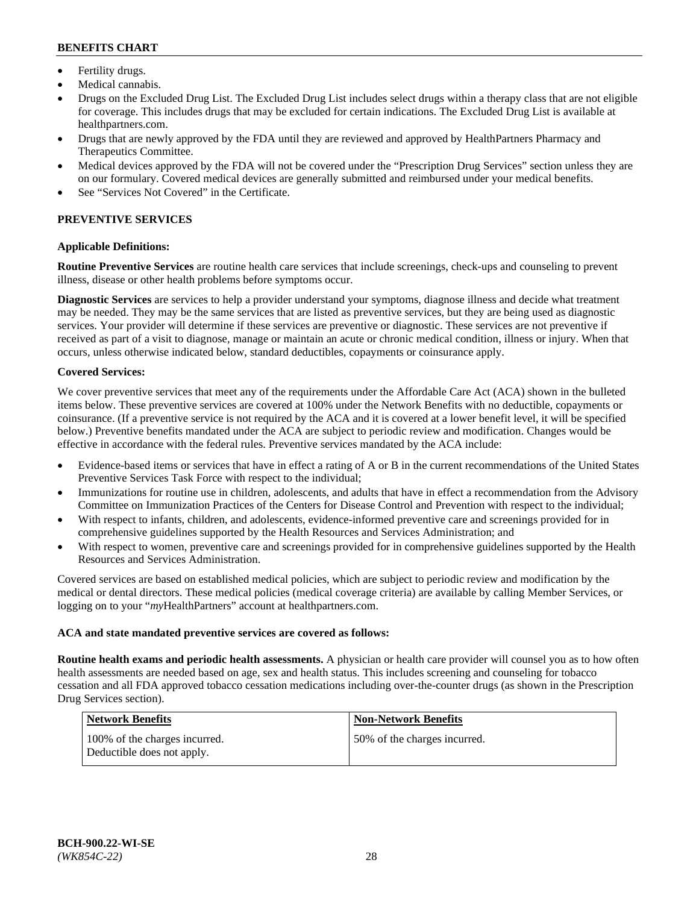- Fertility drugs.
- Medical cannabis.
- Drugs on the Excluded Drug List. The Excluded Drug List includes select drugs within a therapy class that are not eligible for coverage. This includes drugs that may be excluded for certain indications. The Excluded Drug List is available at [healthpartners.com.](http://www.healthpartners.com/)
- Drugs that are newly approved by the FDA until they are reviewed and approved by HealthPartners Pharmacy and Therapeutics Committee.
- Medical devices approved by the FDA will not be covered under the "Prescription Drug Services" section unless they are on our formulary. Covered medical devices are generally submitted and reimbursed under your medical benefits.
- See "Services Not Covered" in the Certificate.

# **PREVENTIVE SERVICES**

#### **Applicable Definitions:**

**Routine Preventive Services** are routine health care services that include screenings, check-ups and counseling to prevent illness, disease or other health problems before symptoms occur.

**Diagnostic Services** are services to help a provider understand your symptoms, diagnose illness and decide what treatment may be needed. They may be the same services that are listed as preventive services, but they are being used as diagnostic services. Your provider will determine if these services are preventive or diagnostic. These services are not preventive if received as part of a visit to diagnose, manage or maintain an acute or chronic medical condition, illness or injury. When that occurs, unless otherwise indicated below, standard deductibles, copayments or coinsurance apply.

#### **Covered Services:**

We cover preventive services that meet any of the requirements under the Affordable Care Act (ACA) shown in the bulleted items below. These preventive services are covered at 100% under the Network Benefits with no deductible, copayments or coinsurance. (If a preventive service is not required by the ACA and it is covered at a lower benefit level, it will be specified below.) Preventive benefits mandated under the ACA are subject to periodic review and modification. Changes would be effective in accordance with the federal rules. Preventive services mandated by the ACA include:

- Evidence-based items or services that have in effect a rating of A or B in the current recommendations of the United States Preventive Services Task Force with respect to the individual;
- Immunizations for routine use in children, adolescents, and adults that have in effect a recommendation from the Advisory Committee on Immunization Practices of the Centers for Disease Control and Prevention with respect to the individual;
- With respect to infants, children, and adolescents, evidence-informed preventive care and screenings provided for in comprehensive guidelines supported by the Health Resources and Services Administration; and
- With respect to women, preventive care and screenings provided for in comprehensive guidelines supported by the Health Resources and Services Administration.

Covered services are based on established medical policies, which are subject to periodic review and modification by the medical or dental directors. These medical policies (medical coverage criteria) are available by calling Member Services, or logging on to your "*my*HealthPartners" account at [healthpartners.com.](https://www.healthpartners.com/hp/index.html)

#### **ACA and state mandated preventive services are covered as follows:**

**Routine health exams and periodic health assessments.** A physician or health care provider will counsel you as to how often health assessments are needed based on age, sex and health status. This includes screening and counseling for tobacco cessation and all FDA approved tobacco cessation medications including over-the-counter drugs (as shown in the Prescription Drug Services section).

| <b>Network Benefits</b>                                     | <b>Non-Network Benefits</b>  |
|-------------------------------------------------------------|------------------------------|
| 100% of the charges incurred.<br>Deductible does not apply. | 50% of the charges incurred. |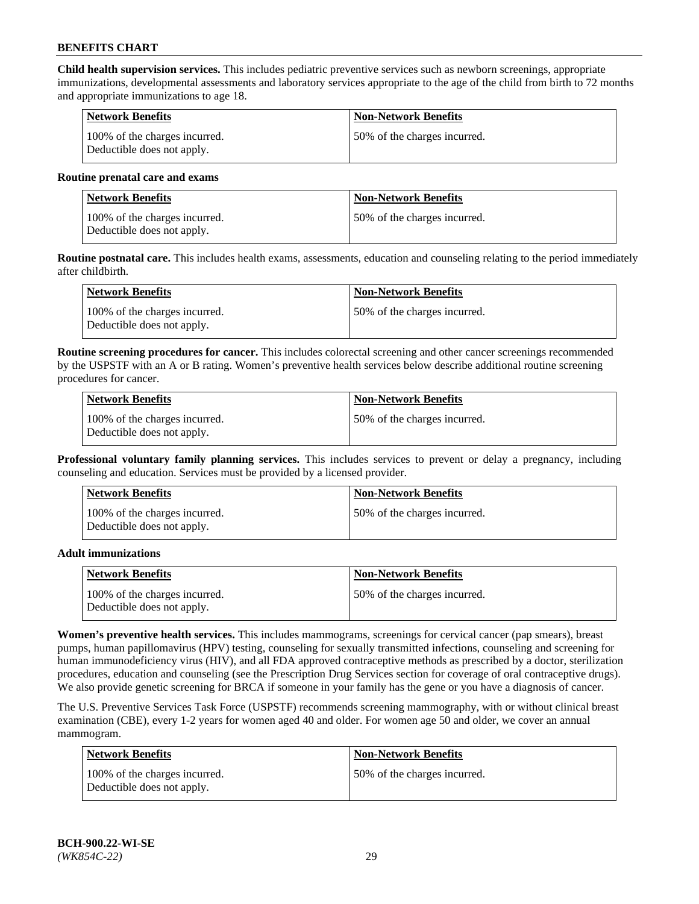**Child health supervision services.** This includes pediatric preventive services such as newborn screenings, appropriate immunizations, developmental assessments and laboratory services appropriate to the age of the child from birth to 72 months and appropriate immunizations to age 18.

| Network Benefits                                            | <b>Non-Network Benefits</b>  |
|-------------------------------------------------------------|------------------------------|
| 100% of the charges incurred.<br>Deductible does not apply. | 50% of the charges incurred. |

#### **Routine prenatal care and exams**

| Network Benefits                                            | <b>Non-Network Benefits</b>  |
|-------------------------------------------------------------|------------------------------|
| 100% of the charges incurred.<br>Deductible does not apply. | 50% of the charges incurred. |

**Routine postnatal care.** This includes health exams, assessments, education and counseling relating to the period immediately after childbirth.

| Network Benefits                                            | <b>Non-Network Benefits</b>  |
|-------------------------------------------------------------|------------------------------|
| 100% of the charges incurred.<br>Deductible does not apply. | 50% of the charges incurred. |

**Routine screening procedures for cancer.** This includes colorectal screening and other cancer screenings recommended by the USPSTF with an A or B rating. Women's preventive health services below describe additional routine screening procedures for cancer.

| Network Benefits                                            | <b>Non-Network Benefits</b>  |
|-------------------------------------------------------------|------------------------------|
| 100% of the charges incurred.<br>Deductible does not apply. | 50% of the charges incurred. |

**Professional voluntary family planning services.** This includes services to prevent or delay a pregnancy, including counseling and education. Services must be provided by a licensed provider.

| <b>Network Benefits</b>                                     | <b>Non-Network Benefits</b>  |
|-------------------------------------------------------------|------------------------------|
| 100% of the charges incurred.<br>Deductible does not apply. | 50% of the charges incurred. |

#### **Adult immunizations**

| <b>Network Benefits</b>                                     | <b>Non-Network Benefits</b>   |
|-------------------------------------------------------------|-------------------------------|
| 100% of the charges incurred.<br>Deductible does not apply. | 150% of the charges incurred. |

**Women's preventive health services.** This includes mammograms, screenings for cervical cancer (pap smears), breast pumps, human papillomavirus (HPV) testing, counseling for sexually transmitted infections, counseling and screening for human immunodeficiency virus (HIV), and all FDA approved contraceptive methods as prescribed by a doctor, sterilization procedures, education and counseling (see the Prescription Drug Services section for coverage of oral contraceptive drugs). We also provide genetic screening for BRCA if someone in your family has the gene or you have a diagnosis of cancer.

The U.S. Preventive Services Task Force (USPSTF) recommends screening mammography, with or without clinical breast examination (CBE), every 1-2 years for women aged 40 and older. For women age 50 and older, we cover an annual mammogram.

| <b>Network Benefits</b>                                     | <b>Non-Network Benefits</b>   |
|-------------------------------------------------------------|-------------------------------|
| 100% of the charges incurred.<br>Deductible does not apply. | 150% of the charges incurred. |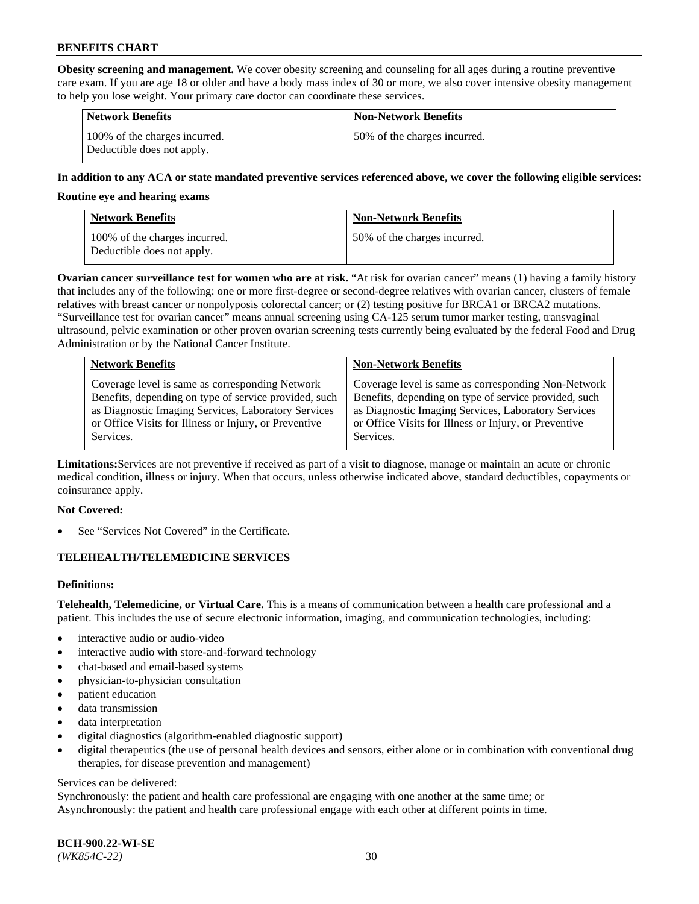**Obesity screening and management.** We cover obesity screening and counseling for all ages during a routine preventive care exam. If you are age 18 or older and have a body mass index of 30 or more, we also cover intensive obesity management to help you lose weight. Your primary care doctor can coordinate these services.

| <b>Network Benefits</b>                                     | <b>Non-Network Benefits</b>  |
|-------------------------------------------------------------|------------------------------|
| 100% of the charges incurred.<br>Deductible does not apply. | 50% of the charges incurred. |

#### **In addition to any ACA or state mandated preventive services referenced above, we cover the following eligible services:**

#### **Routine eye and hearing exams**

| <b>Network Benefits</b>                                     | <b>Non-Network Benefits</b>  |
|-------------------------------------------------------------|------------------------------|
| 100% of the charges incurred.<br>Deductible does not apply. | 50% of the charges incurred. |

**Ovarian cancer surveillance test for women who are at risk.** "At risk for ovarian cancer" means (1) having a family history that includes any of the following: one or more first-degree or second-degree relatives with ovarian cancer, clusters of female relatives with breast cancer or nonpolyposis colorectal cancer; or (2) testing positive for BRCA1 or BRCA2 mutations. "Surveillance test for ovarian cancer" means annual screening using CA-125 serum tumor marker testing, transvaginal ultrasound, pelvic examination or other proven ovarian screening tests currently being evaluated by the federal Food and Drug Administration or by the National Cancer Institute.

| <b>Network Benefits</b>                               | <b>Non-Network Benefits</b>                           |
|-------------------------------------------------------|-------------------------------------------------------|
| Coverage level is same as corresponding Network       | Coverage level is same as corresponding Non-Network   |
| Benefits, depending on type of service provided, such | Benefits, depending on type of service provided, such |
| as Diagnostic Imaging Services, Laboratory Services   | as Diagnostic Imaging Services, Laboratory Services   |
| or Office Visits for Illness or Injury, or Preventive | or Office Visits for Illness or Injury, or Preventive |
| Services.                                             | Services.                                             |

**Limitations:**Services are not preventive if received as part of a visit to diagnose, manage or maintain an acute or chronic medical condition, illness or injury. When that occurs, unless otherwise indicated above, standard deductibles, copayments or coinsurance apply.

#### **Not Covered:**

See "Services Not Covered" in the Certificate.

## **TELEHEALTH/TELEMEDICINE SERVICES**

## **Definitions:**

**Telehealth, Telemedicine, or Virtual Care.** This is a means of communication between a health care professional and a patient. This includes the use of secure electronic information, imaging, and communication technologies, including:

- interactive audio or audio-video
- interactive audio with store-and-forward technology
- chat-based and email-based systems
- physician-to-physician consultation
- patient education
- data transmission
- data interpretation
- digital diagnostics (algorithm-enabled diagnostic support)
- digital therapeutics (the use of personal health devices and sensors, either alone or in combination with conventional drug therapies, for disease prevention and management)

#### Services can be delivered:

Synchronously: the patient and health care professional are engaging with one another at the same time; or Asynchronously: the patient and health care professional engage with each other at different points in time.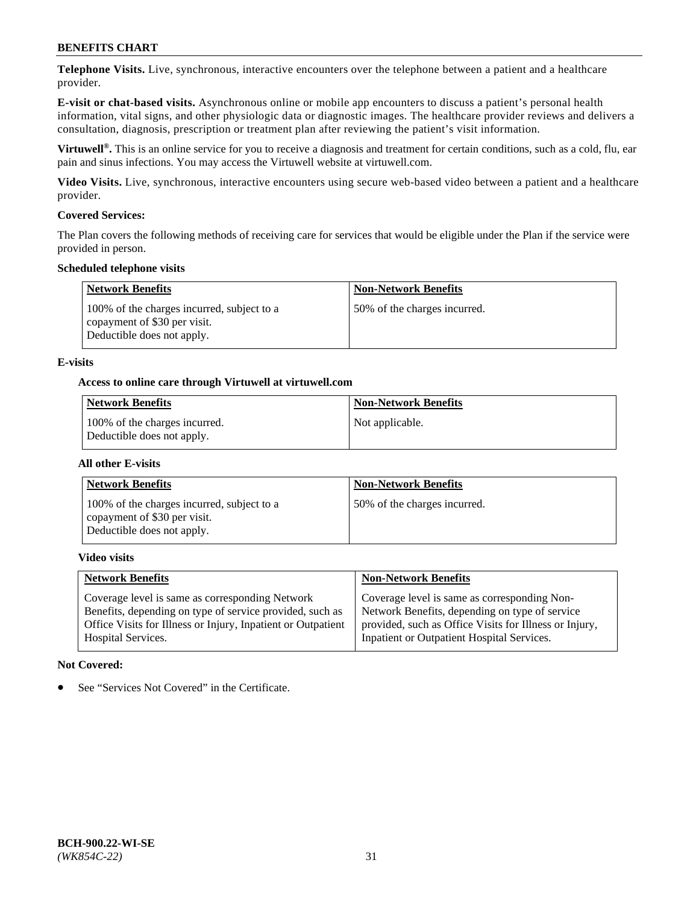**Telephone Visits.** Live, synchronous, interactive encounters over the telephone between a patient and a healthcare provider.

**E-visit or chat-based visits.** Asynchronous online or mobile app encounters to discuss a patient's personal health information, vital signs, and other physiologic data or diagnostic images. The healthcare provider reviews and delivers a consultation, diagnosis, prescription or treatment plan after reviewing the patient's visit information.

**Virtuwell®.** This is an online service for you to receive a diagnosis and treatment for certain conditions, such as a cold, flu, ear pain and sinus infections. You may access the Virtuwell website at [virtuwell.com.](https://www.virtuwell.com/)

**Video Visits.** Live, synchronous, interactive encounters using secure web-based video between a patient and a healthcare provider.

#### **Covered Services:**

The Plan covers the following methods of receiving care for services that would be eligible under the Plan if the service were provided in person.

#### **Scheduled telephone visits**

| <b>Network Benefits</b>                                                                                  | <b>Non-Network Benefits</b>  |
|----------------------------------------------------------------------------------------------------------|------------------------------|
| 100% of the charges incurred, subject to a<br>copayment of \$30 per visit.<br>Deductible does not apply. | 50% of the charges incurred. |

#### **E-visits**

#### **Access to online care through Virtuwell at [virtuwell.com](https://www.virtuwell.com/)**

| Network Benefits                                            | <b>Non-Network Benefits</b> |
|-------------------------------------------------------------|-----------------------------|
| 100% of the charges incurred.<br>Deductible does not apply. | Not applicable.             |

#### **All other E-visits**

| <b>Network Benefits</b>                                                                                  | <b>Non-Network Benefits</b>  |
|----------------------------------------------------------------------------------------------------------|------------------------------|
| 100% of the charges incurred, subject to a<br>copayment of \$30 per visit.<br>Deductible does not apply. | 50% of the charges incurred. |

#### **Video visits**

| <b>Network Benefits</b>                                      | <b>Non-Network Benefits</b>                            |
|--------------------------------------------------------------|--------------------------------------------------------|
| Coverage level is same as corresponding Network              | Coverage level is same as corresponding Non-           |
| Benefits, depending on type of service provided, such as     | Network Benefits, depending on type of service         |
| Office Visits for Illness or Injury, Inpatient or Outpatient | provided, such as Office Visits for Illness or Injury, |
| <b>Hospital Services.</b>                                    | Inpatient or Outpatient Hospital Services.             |

#### **Not Covered:**

See "Services Not Covered" in the Certificate.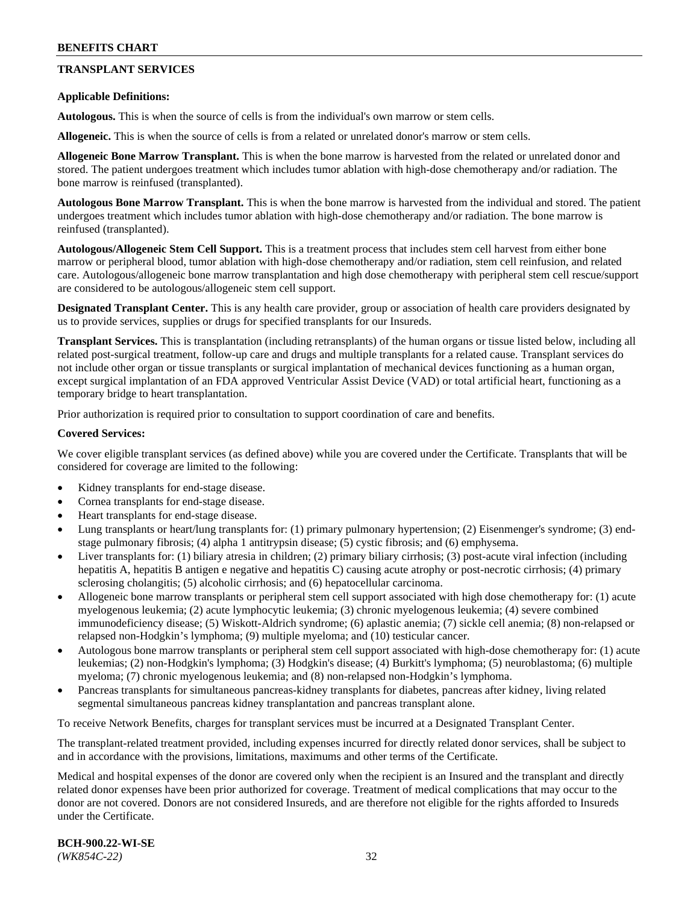## **TRANSPLANT SERVICES**

#### **Applicable Definitions:**

**Autologous.** This is when the source of cells is from the individual's own marrow or stem cells.

**Allogeneic.** This is when the source of cells is from a related or unrelated donor's marrow or stem cells.

**Allogeneic Bone Marrow Transplant.** This is when the bone marrow is harvested from the related or unrelated donor and stored. The patient undergoes treatment which includes tumor ablation with high-dose chemotherapy and/or radiation. The bone marrow is reinfused (transplanted).

**Autologous Bone Marrow Transplant.** This is when the bone marrow is harvested from the individual and stored. The patient undergoes treatment which includes tumor ablation with high-dose chemotherapy and/or radiation. The bone marrow is reinfused (transplanted).

**Autologous/Allogeneic Stem Cell Support.** This is a treatment process that includes stem cell harvest from either bone marrow or peripheral blood, tumor ablation with high-dose chemotherapy and/or radiation, stem cell reinfusion, and related care. Autologous/allogeneic bone marrow transplantation and high dose chemotherapy with peripheral stem cell rescue/support are considered to be autologous/allogeneic stem cell support.

**Designated Transplant Center.** This is any health care provider, group or association of health care providers designated by us to provide services, supplies or drugs for specified transplants for our Insureds.

**Transplant Services.** This is transplantation (including retransplants) of the human organs or tissue listed below, including all related post-surgical treatment, follow-up care and drugs and multiple transplants for a related cause. Transplant services do not include other organ or tissue transplants or surgical implantation of mechanical devices functioning as a human organ, except surgical implantation of an FDA approved Ventricular Assist Device (VAD) or total artificial heart, functioning as a temporary bridge to heart transplantation.

Prior authorization is required prior to consultation to support coordination of care and benefits.

#### **Covered Services:**

We cover eligible transplant services (as defined above) while you are covered under the Certificate. Transplants that will be considered for coverage are limited to the following:

- Kidney transplants for end-stage disease.
- Cornea transplants for end-stage disease.
- Heart transplants for end-stage disease.
- Lung transplants or heart/lung transplants for: (1) primary pulmonary hypertension; (2) Eisenmenger's syndrome; (3) endstage pulmonary fibrosis; (4) alpha 1 antitrypsin disease; (5) cystic fibrosis; and (6) emphysema.
- Liver transplants for: (1) biliary atresia in children; (2) primary biliary cirrhosis; (3) post-acute viral infection (including hepatitis A, hepatitis B antigen e negative and hepatitis C) causing acute atrophy or post-necrotic cirrhosis; (4) primary sclerosing cholangitis; (5) alcoholic cirrhosis; and (6) hepatocellular carcinoma.
- Allogeneic bone marrow transplants or peripheral stem cell support associated with high dose chemotherapy for: (1) acute myelogenous leukemia; (2) acute lymphocytic leukemia; (3) chronic myelogenous leukemia; (4) severe combined immunodeficiency disease; (5) Wiskott-Aldrich syndrome; (6) aplastic anemia; (7) sickle cell anemia; (8) non-relapsed or relapsed non-Hodgkin's lymphoma; (9) multiple myeloma; and (10) testicular cancer.
- Autologous bone marrow transplants or peripheral stem cell support associated with high-dose chemotherapy for: (1) acute leukemias; (2) non-Hodgkin's lymphoma; (3) Hodgkin's disease; (4) Burkitt's lymphoma; (5) neuroblastoma; (6) multiple myeloma; (7) chronic myelogenous leukemia; and (8) non-relapsed non-Hodgkin's lymphoma.
- Pancreas transplants for simultaneous pancreas-kidney transplants for diabetes, pancreas after kidney, living related segmental simultaneous pancreas kidney transplantation and pancreas transplant alone.

To receive Network Benefits, charges for transplant services must be incurred at a Designated Transplant Center.

The transplant-related treatment provided, including expenses incurred for directly related donor services, shall be subject to and in accordance with the provisions, limitations, maximums and other terms of the Certificate.

Medical and hospital expenses of the donor are covered only when the recipient is an Insured and the transplant and directly related donor expenses have been prior authorized for coverage. Treatment of medical complications that may occur to the donor are not covered. Donors are not considered Insureds, and are therefore not eligible for the rights afforded to Insureds under the Certificate.